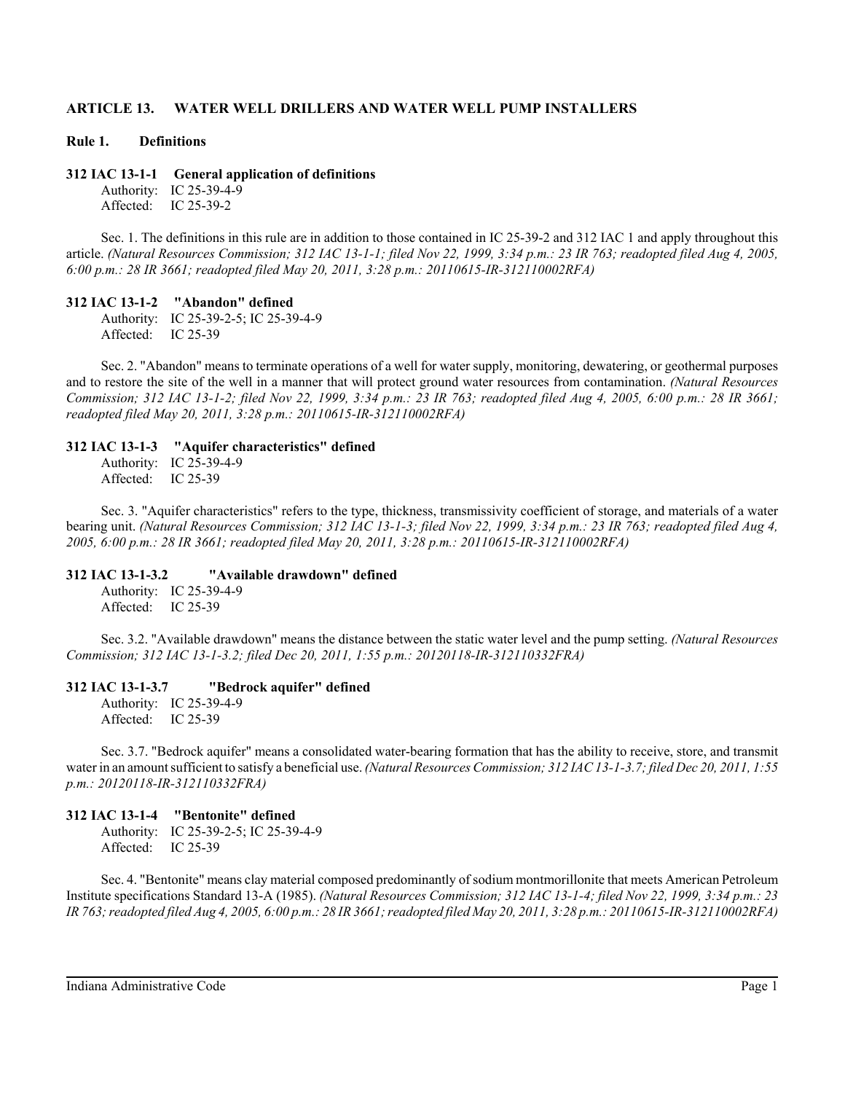# **ARTICLE 13. WATER WELL DRILLERS AND WATER WELL PUMP INSTALLERS**

#### **Rule 1. Definitions**

#### **312 IAC 13-1-1 General application of definitions**

Authority: IC 25-39-4-9 Affected: IC 25-39-2

Sec. 1. The definitions in this rule are in addition to those contained in IC 25-39-2 and 312 IAC 1 and apply throughout this article. *(Natural Resources Commission; 312 IAC 13-1-1; filed Nov 22, 1999, 3:34 p.m.: 23 IR 763; readopted filed Aug 4, 2005, 6:00 p.m.: 28 IR 3661; readopted filed May 20, 2011, 3:28 p.m.: 20110615-IR-312110002RFA)*

#### **312 IAC 13-1-2 "Abandon" defined**

Authority: IC 25-39-2-5; IC 25-39-4-9 Affected: IC 25-39

Sec. 2. "Abandon" means to terminate operations of a well for water supply, monitoring, dewatering, or geothermal purposes and to restore the site of the well in a manner that will protect ground water resources from contamination. *(Natural Resources Commission; 312 IAC 13-1-2; filed Nov 22, 1999, 3:34 p.m.: 23 IR 763; readopted filed Aug 4, 2005, 6:00 p.m.: 28 IR 3661; readopted filed May 20, 2011, 3:28 p.m.: 20110615-IR-312110002RFA)*

#### **312 IAC 13-1-3 "Aquifer characteristics" defined**

Authority: IC 25-39-4-9 Affected: IC 25-39

Sec. 3. "Aquifer characteristics" refers to the type, thickness, transmissivity coefficient of storage, and materials of a water bearing unit. *(Natural Resources Commission; 312 IAC 13-1-3; filed Nov 22, 1999, 3:34 p.m.: 23 IR 763; readopted filed Aug 4, 2005, 6:00 p.m.: 28 IR 3661; readopted filed May 20, 2011, 3:28 p.m.: 20110615-IR-312110002RFA)*

#### **312 IAC 13-1-3.2 "Available drawdown" defined**

Authority: IC 25-39-4-9 Affected: IC 25-39

Sec. 3.2. "Available drawdown" means the distance between the static water level and the pump setting. *(Natural Resources Commission; 312 IAC 13-1-3.2; filed Dec 20, 2011, 1:55 p.m.: 20120118-IR-312110332FRA)*

#### **312 IAC 13-1-3.7 "Bedrock aquifer" defined**

Authority: IC 25-39-4-9 Affected: IC 25-39

Sec. 3.7. "Bedrock aquifer" means a consolidated water-bearing formation that has the ability to receive, store, and transmit water in an amount sufficient to satisfy a beneficial use. *(Natural Resources Commission; 312 IAC 13-1-3.7; filed Dec 20, 2011, 1:55 p.m.: 20120118-IR-312110332FRA)*

#### **312 IAC 13-1-4 "Bentonite" defined**

Authority: IC 25-39-2-5; IC 25-39-4-9 Affected: IC 25-39

Sec. 4. "Bentonite" means clay material composed predominantly of sodium montmorillonite that meets American Petroleum Institute specifications Standard 13-A (1985). *(Natural Resources Commission; 312 IAC 13-1-4; filed Nov 22, 1999, 3:34 p.m.: 23 IR 763; readopted filed Aug 4, 2005, 6:00 p.m.: 28 IR 3661; readopted filed May 20, 2011, 3:28 p.m.: 20110615-IR-312110002RFA)*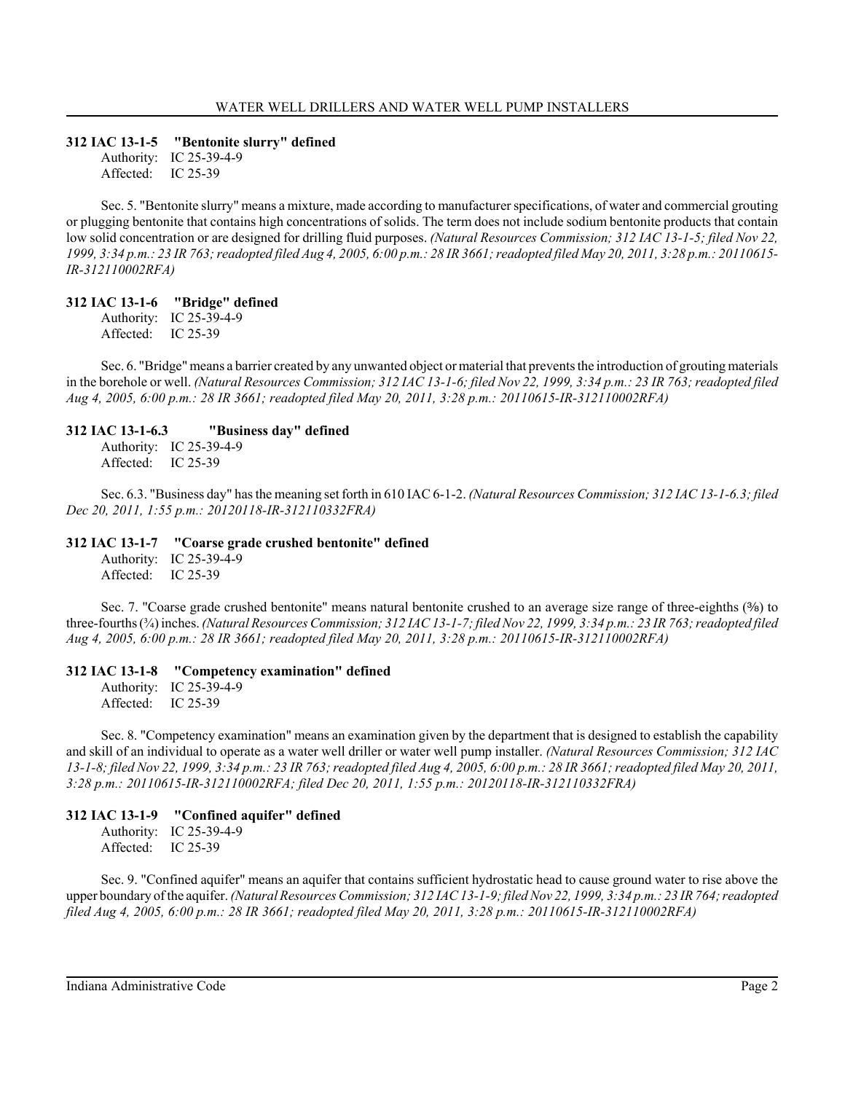## **312 IAC 13-1-5 "Bentonite slurry" defined**

Authority: IC 25-39-4-9 Affected: IC 25-39

Sec. 5. "Bentonite slurry" means a mixture, made according to manufacturer specifications, of water and commercial grouting or plugging bentonite that contains high concentrations of solids. The term does not include sodium bentonite products that contain low solid concentration or are designed for drilling fluid purposes. *(Natural Resources Commission; 312 IAC 13-1-5; filed Nov 22, 1999, 3:34 p.m.: 23 IR 763; readopted filed Aug 4, 2005, 6:00 p.m.: 28 IR 3661; readopted filed May 20, 2011, 3:28 p.m.: 20110615- IR-312110002RFA)*

# **312 IAC 13-1-6 "Bridge" defined**

Authority: IC 25-39-4-9 Affected: IC 25-39

Sec. 6. "Bridge" means a barrier created by any unwanted object or material that prevents the introduction of grouting materials in the borehole or well. *(Natural Resources Commission; 312 IAC 13-1-6; filed Nov 22, 1999, 3:34 p.m.: 23 IR 763; readopted filed Aug 4, 2005, 6:00 p.m.: 28 IR 3661; readopted filed May 20, 2011, 3:28 p.m.: 20110615-IR-312110002RFA)*

### **312 IAC 13-1-6.3 "Business day" defined**

Authority: IC 25-39-4-9 Affected: IC 25-39

Sec. 6.3. "Business day" has the meaning set forth in 610 IAC 6-1-2. *(Natural Resources Commission; 312 IAC 13-1-6.3; filed Dec 20, 2011, 1:55 p.m.: 20120118-IR-312110332FRA)*

### **312 IAC 13-1-7 "Coarse grade crushed bentonite" defined**

Authority: IC 25-39-4-9 Affected: IC 25-39

Sec. 7. "Coarse grade crushed bentonite" means natural bentonite crushed to an average size range of three-eighths  $(3)$  to three-fourths (¾) inches. *(Natural Resources Commission; 312 IAC 13-1-7; filed Nov 22, 1999, 3:34 p.m.: 23 IR 763; readopted filed Aug 4, 2005, 6:00 p.m.: 28 IR 3661; readopted filed May 20, 2011, 3:28 p.m.: 20110615-IR-312110002RFA)*

#### **312 IAC 13-1-8 "Competency examination" defined**

Authority: IC 25-39-4-9 Affected: IC 25-39

Sec. 8. "Competency examination" means an examination given by the department that is designed to establish the capability and skill of an individual to operate as a water well driller or water well pump installer. *(Natural Resources Commission; 312 IAC 13-1-8; filed Nov 22, 1999, 3:34 p.m.: 23 IR 763; readopted filed Aug 4, 2005, 6:00 p.m.: 28 IR 3661; readopted filed May 20, 2011, 3:28 p.m.: 20110615-IR-312110002RFA; filed Dec 20, 2011, 1:55 p.m.: 20120118-IR-312110332FRA)*

# **312 IAC 13-1-9 "Confined aquifer" defined**

Authority: IC 25-39-4-9 Affected: IC 25-39

Sec. 9. "Confined aquifer" means an aquifer that contains sufficient hydrostatic head to cause ground water to rise above the upper boundary of the aquifer. *(Natural Resources Commission; 312 IAC 13-1-9; filed Nov 22, 1999, 3:34 p.m.: 23 IR 764; readopted filed Aug 4, 2005, 6:00 p.m.: 28 IR 3661; readopted filed May 20, 2011, 3:28 p.m.: 20110615-IR-312110002RFA)*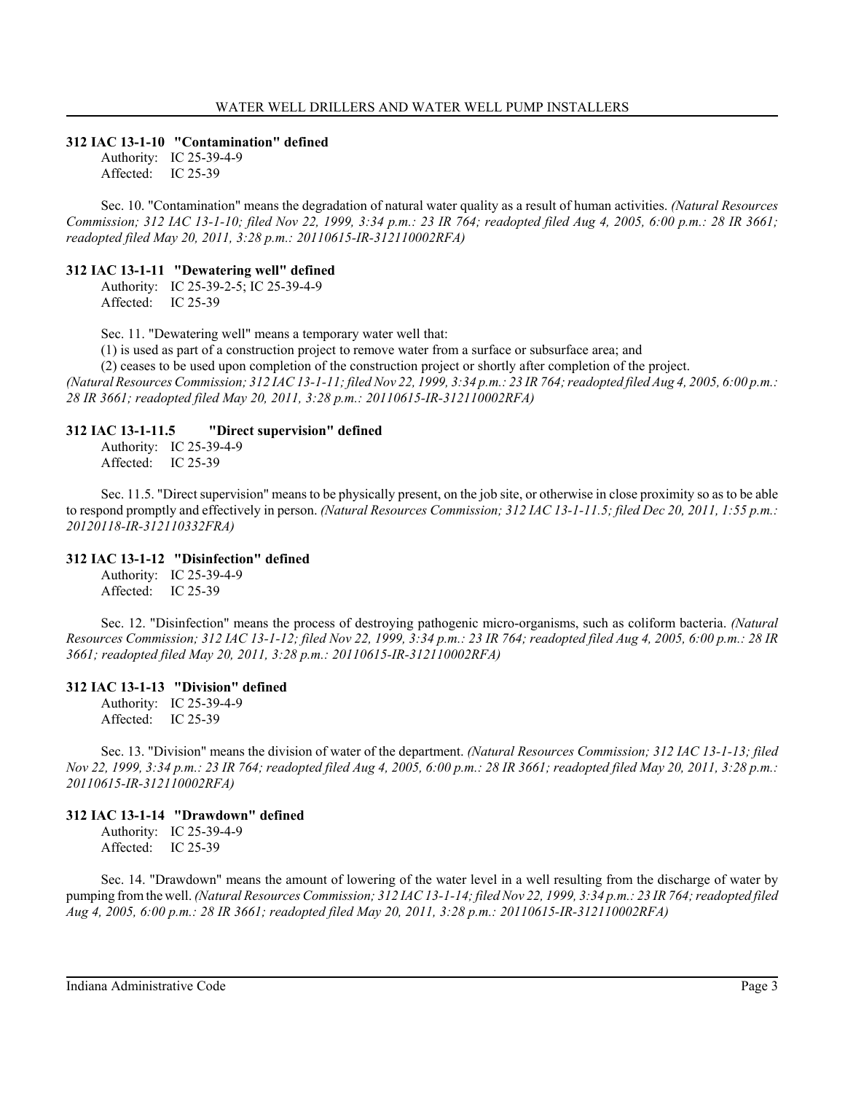#### **312 IAC 13-1-10 "Contamination" defined**

Authority: IC 25-39-4-9 Affected: IC 25-39

Sec. 10. "Contamination" means the degradation of natural water quality as a result of human activities. *(Natural Resources Commission; 312 IAC 13-1-10; filed Nov 22, 1999, 3:34 p.m.: 23 IR 764; readopted filed Aug 4, 2005, 6:00 p.m.: 28 IR 3661; readopted filed May 20, 2011, 3:28 p.m.: 20110615-IR-312110002RFA)*

## **312 IAC 13-1-11 "Dewatering well" defined**

Authority: IC 25-39-2-5; IC 25-39-4-9 Affected: IC 25-39

Sec. 11. "Dewatering well" means a temporary water well that:

(1) is used as part of a construction project to remove water from a surface or subsurface area; and

(2) ceases to be used upon completion of the construction project or shortly after completion of the project.

*(Natural Resources Commission; 312 IAC 13-1-11; filed Nov 22, 1999, 3:34 p.m.: 23 IR 764; readopted filed Aug 4, 2005, 6:00 p.m.: 28 IR 3661; readopted filed May 20, 2011, 3:28 p.m.: 20110615-IR-312110002RFA)*

#### **312 IAC 13-1-11.5 "Direct supervision" defined**

Authority: IC 25-39-4-9 Affected: IC 25-39

Sec. 11.5. "Direct supervision" means to be physically present, on the job site, or otherwise in close proximity so as to be able to respond promptly and effectively in person. *(Natural Resources Commission; 312 IAC 13-1-11.5; filed Dec 20, 2011, 1:55 p.m.: 20120118-IR-312110332FRA)*

#### **312 IAC 13-1-12 "Disinfection" defined**

Authority: IC 25-39-4-9 Affected: IC 25-39

Sec. 12. "Disinfection" means the process of destroying pathogenic micro-organisms, such as coliform bacteria. *(Natural Resources Commission; 312 IAC 13-1-12; filed Nov 22, 1999, 3:34 p.m.: 23 IR 764; readopted filed Aug 4, 2005, 6:00 p.m.: 28 IR 3661; readopted filed May 20, 2011, 3:28 p.m.: 20110615-IR-312110002RFA)*

#### **312 IAC 13-1-13 "Division" defined**

Authority: IC 25-39-4-9 Affected: IC 25-39

Sec. 13. "Division" means the division of water of the department. *(Natural Resources Commission; 312 IAC 13-1-13; filed Nov 22, 1999, 3:34 p.m.: 23 IR 764; readopted filed Aug 4, 2005, 6:00 p.m.: 28 IR 3661; readopted filed May 20, 2011, 3:28 p.m.: 20110615-IR-312110002RFA)*

# **312 IAC 13-1-14 "Drawdown" defined**

Authority: IC 25-39-4-9 Affected: IC 25-39

Sec. 14. "Drawdown" means the amount of lowering of the water level in a well resulting from the discharge of water by pumping from the well. *(Natural Resources Commission; 312 IAC 13-1-14; filed Nov 22, 1999, 3:34 p.m.: 23 IR 764; readopted filed Aug 4, 2005, 6:00 p.m.: 28 IR 3661; readopted filed May 20, 2011, 3:28 p.m.: 20110615-IR-312110002RFA)*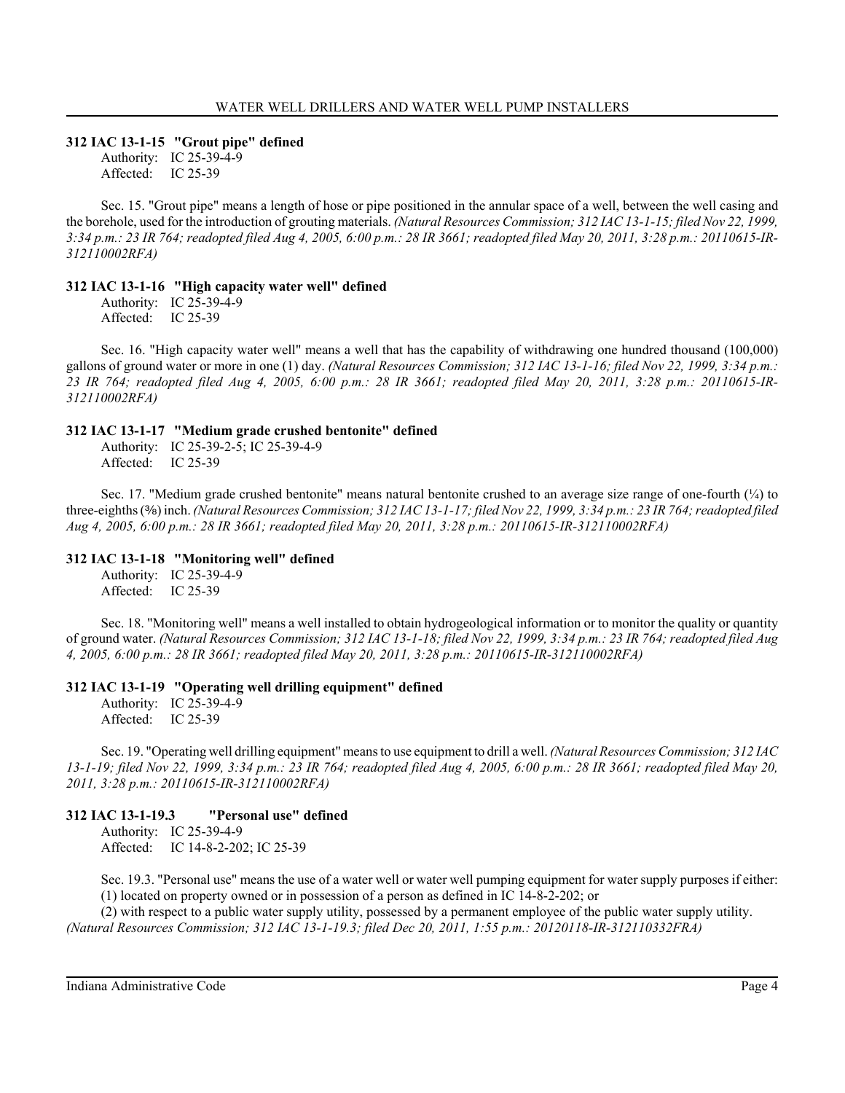## **312 IAC 13-1-15 "Grout pipe" defined**

Authority: IC 25-39-4-9 Affected: IC 25-39

Sec. 15. "Grout pipe" means a length of hose or pipe positioned in the annular space of a well, between the well casing and the borehole, used for the introduction of grouting materials. *(Natural Resources Commission; 312 IAC 13-1-15; filed Nov 22, 1999, 3:34 p.m.: 23 IR 764; readopted filed Aug 4, 2005, 6:00 p.m.: 28 IR 3661; readopted filed May 20, 2011, 3:28 p.m.: 20110615-IR-312110002RFA)*

#### **312 IAC 13-1-16 "High capacity water well" defined**

Authority: IC 25-39-4-9 Affected: IC 25-39

Sec. 16. "High capacity water well" means a well that has the capability of withdrawing one hundred thousand (100,000) gallons of ground water or more in one (1) day. *(Natural Resources Commission; 312 IAC 13-1-16; filed Nov 22, 1999, 3:34 p.m.: 23 IR 764; readopted filed Aug 4, 2005, 6:00 p.m.: 28 IR 3661; readopted filed May 20, 2011, 3:28 p.m.: 20110615-IR-312110002RFA)*

### **312 IAC 13-1-17 "Medium grade crushed bentonite" defined**

Authority: IC 25-39-2-5; IC 25-39-4-9 Affected: IC 25-39

Sec. 17. "Medium grade crushed bentonite" means natural bentonite crushed to an average size range of one-fourth  $(\frac{1}{4})$  to three-eighths ( $\frac{3}{8}$ ) inch. *(Natural Resources Commission; 312 IAC 13-1-17; filed Nov 22, 1999, 3:34 p.m.: 23 IR 764; readopted filed Aug 4, 2005, 6:00 p.m.: 28 IR 3661; readopted filed May 20, 2011, 3:28 p.m.: 20110615-IR-312110002RFA)*

#### **312 IAC 13-1-18 "Monitoring well" defined**

Authority: IC 25-39-4-9 Affected: IC 25-39

Sec. 18. "Monitoring well" means a well installed to obtain hydrogeological information or to monitor the quality or quantity of ground water. *(Natural Resources Commission; 312 IAC 13-1-18; filed Nov 22, 1999, 3:34 p.m.: 23 IR 764; readopted filed Aug 4, 2005, 6:00 p.m.: 28 IR 3661; readopted filed May 20, 2011, 3:28 p.m.: 20110615-IR-312110002RFA)*

#### **312 IAC 13-1-19 "Operating well drilling equipment" defined**

Authority: IC 25-39-4-9 Affected: IC 25-39

Sec. 19. "Operating well drilling equipment" means to use equipment to drill a well. *(Natural Resources Commission; 312 IAC 13-1-19; filed Nov 22, 1999, 3:34 p.m.: 23 IR 764; readopted filed Aug 4, 2005, 6:00 p.m.: 28 IR 3661; readopted filed May 20, 2011, 3:28 p.m.: 20110615-IR-312110002RFA)*

#### **312 IAC 13-1-19.3 "Personal use" defined**

Authority: IC 25-39-4-9 Affected: IC 14-8-2-202; IC 25-39

Sec. 19.3. "Personal use" means the use of a water well or water well pumping equipment for water supply purposes if either: (1) located on property owned or in possession of a person as defined in IC 14-8-2-202; or

(2) with respect to a public water supply utility, possessed by a permanent employee of the public water supply utility. *(Natural Resources Commission; 312 IAC 13-1-19.3; filed Dec 20, 2011, 1:55 p.m.: 20120118-IR-312110332FRA)*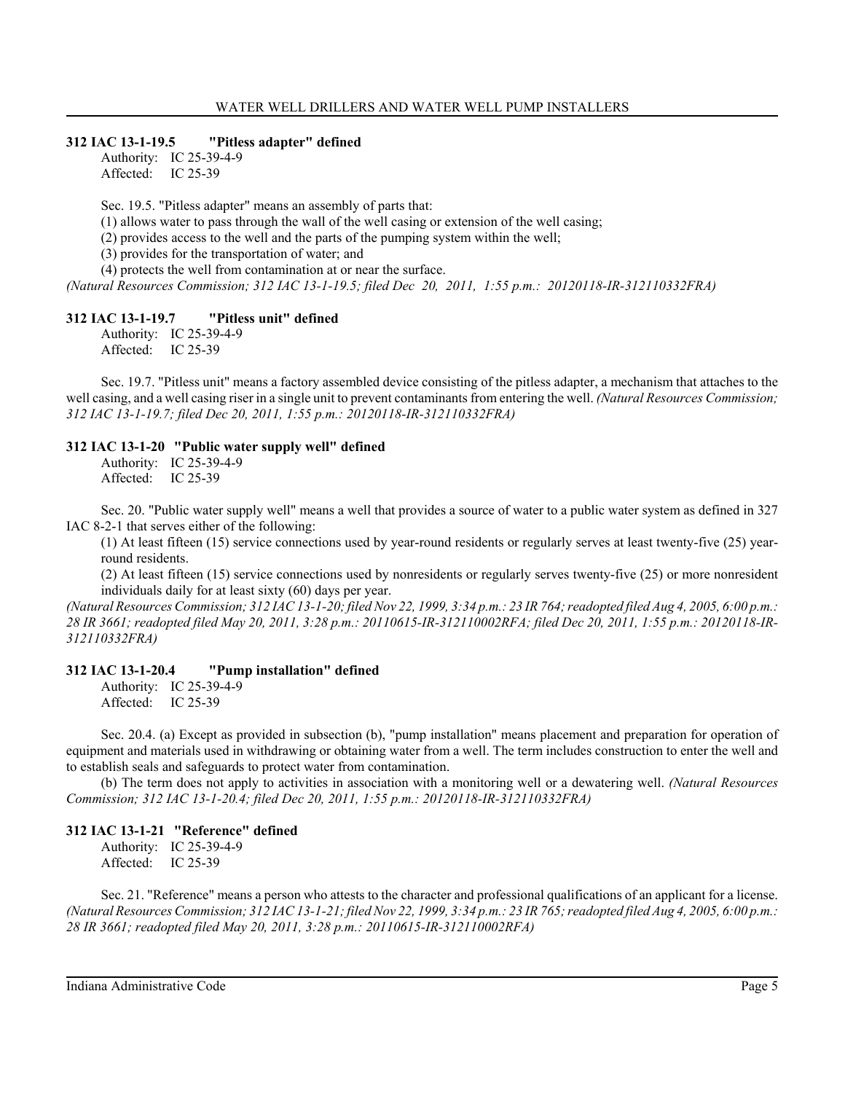#### **312 IAC 13-1-19.5 "Pitless adapter" defined**

Authority: IC 25-39-4-9 Affected: IC 25-39

Sec. 19.5. "Pitless adapter" means an assembly of parts that:

 $(1)$  allows water to pass through the wall of the well casing or extension of the well casing;

(2) provides access to the well and the parts of the pumping system within the well;

(3) provides for the transportation of water; and

(4) protects the well from contamination at or near the surface.

*(Natural Resources Commission; 312 IAC 13-1-19.5; filed Dec 20, 2011, 1:55 p.m.: 20120118-IR-312110332FRA)*

#### **312 IAC 13-1-19.7 "Pitless unit" defined**

Authority: IC 25-39-4-9 Affected: IC 25-39

Sec. 19.7. "Pitless unit" means a factory assembled device consisting of the pitless adapter, a mechanism that attaches to the well casing, and a well casing riser in a single unit to prevent contaminants from entering the well. *(Natural Resources Commission; 312 IAC 13-1-19.7; filed Dec 20, 2011, 1:55 p.m.: 20120118-IR-312110332FRA)*

#### **312 IAC 13-1-20 "Public water supply well" defined**

Authority: IC 25-39-4-9 Affected: IC 25-39

Sec. 20. "Public water supply well" means a well that provides a source of water to a public water system as defined in 327 IAC 8-2-1 that serves either of the following:

(1) At least fifteen (15) service connections used by year-round residents or regularly serves at least twenty-five (25) yearround residents.

(2) At least fifteen (15) service connections used by nonresidents or regularly serves twenty-five (25) or more nonresident individuals daily for at least sixty (60) days per year.

*(Natural Resources Commission; 312 IAC 13-1-20; filed Nov 22, 1999, 3:34 p.m.: 23 IR 764; readopted filed Aug 4, 2005, 6:00 p.m.: 28 IR 3661; readopted filed May 20, 2011, 3:28 p.m.: 20110615-IR-312110002RFA; filed Dec 20, 2011, 1:55 p.m.: 20120118-IR-312110332FRA)*

#### **312 IAC 13-1-20.4 "Pump installation" defined**

Authority: IC 25-39-4-9 Affected: IC 25-39

Sec. 20.4. (a) Except as provided in subsection (b), "pump installation" means placement and preparation for operation of equipment and materials used in withdrawing or obtaining water from a well. The term includes construction to enter the well and to establish seals and safeguards to protect water from contamination.

(b) The term does not apply to activities in association with a monitoring well or a dewatering well. *(Natural Resources Commission; 312 IAC 13-1-20.4; filed Dec 20, 2011, 1:55 p.m.: 20120118-IR-312110332FRA)*

#### **312 IAC 13-1-21 "Reference" defined**

Authority: IC 25-39-4-9 Affected: IC 25-39

Sec. 21. "Reference" means a person who attests to the character and professional qualifications of an applicant for a license. *(Natural Resources Commission; 312 IAC 13-1-21; filed Nov 22, 1999, 3:34 p.m.: 23 IR 765; readopted filed Aug 4, 2005, 6:00 p.m.: 28 IR 3661; readopted filed May 20, 2011, 3:28 p.m.: 20110615-IR-312110002RFA)*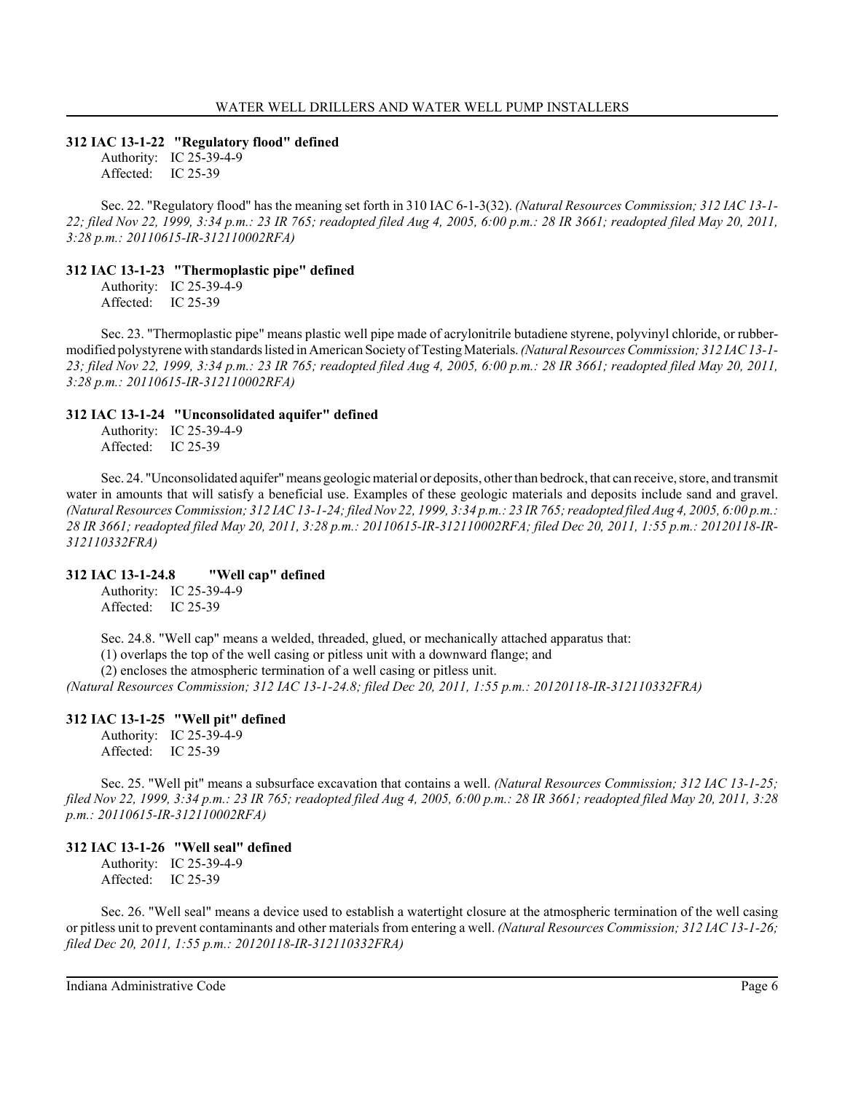#### **312 IAC 13-1-22 "Regulatory flood" defined**

Authority: IC 25-39-4-9 Affected: IC 25-39

Sec. 22. "Regulatory flood" has the meaning set forth in 310 IAC 6-1-3(32). *(Natural Resources Commission; 312 IAC 13-1- 22; filed Nov 22, 1999, 3:34 p.m.: 23 IR 765; readopted filed Aug 4, 2005, 6:00 p.m.: 28 IR 3661; readopted filed May 20, 2011, 3:28 p.m.: 20110615-IR-312110002RFA)*

# **312 IAC 13-1-23 "Thermoplastic pipe" defined**

Authority: IC 25-39-4-9 Affected: IC 25-39

Sec. 23. "Thermoplastic pipe" means plastic well pipe made of acrylonitrile butadiene styrene, polyvinyl chloride, or rubbermodified polystyrene with standards listed in American Society of Testing Materials. *(Natural Resources Commission; 312 IAC 13-1- 23; filed Nov 22, 1999, 3:34 p.m.: 23 IR 765; readopted filed Aug 4, 2005, 6:00 p.m.: 28 IR 3661; readopted filed May 20, 2011, 3:28 p.m.: 20110615-IR-312110002RFA)*

### **312 IAC 13-1-24 "Unconsolidated aquifer" defined**

Authority: IC 25-39-4-9 Affected: IC 25-39

Sec. 24. "Unconsolidated aquifer" means geologic material or deposits, other than bedrock, that can receive, store, and transmit water in amounts that will satisfy a beneficial use. Examples of these geologic materials and deposits include sand and gravel. *(Natural Resources Commission; 312 IAC 13-1-24; filed Nov 22, 1999, 3:34 p.m.: 23 IR 765; readopted filed Aug 4, 2005, 6:00 p.m.: 28 IR 3661; readopted filed May 20, 2011, 3:28 p.m.: 20110615-IR-312110002RFA; filed Dec 20, 2011, 1:55 p.m.: 20120118-IR-312110332FRA)*

# **312 IAC 13-1-24.8 "Well cap" defined**

Authority: IC 25-39-4-9 Affected: IC 25-39

Sec. 24.8. "Well cap" means a welded, threaded, glued, or mechanically attached apparatus that:

(1) overlaps the top of the well casing or pitless unit with a downward flange; and

(2) encloses the atmospheric termination of a well casing or pitless unit.

*(Natural Resources Commission; 312 IAC 13-1-24.8; filed Dec 20, 2011, 1:55 p.m.: 20120118-IR-312110332FRA)*

# **312 IAC 13-1-25 "Well pit" defined**

Authority: IC 25-39-4-9 Affected: IC 25-39

Sec. 25. "Well pit" means a subsurface excavation that contains a well. *(Natural Resources Commission; 312 IAC 13-1-25; filed Nov 22, 1999, 3:34 p.m.: 23 IR 765; readopted filed Aug 4, 2005, 6:00 p.m.: 28 IR 3661; readopted filed May 20, 2011, 3:28 p.m.: 20110615-IR-312110002RFA)*

#### **312 IAC 13-1-26 "Well seal" defined**

Authority: IC 25-39-4-9 Affected: IC 25-39

Sec. 26. "Well seal" means a device used to establish a watertight closure at the atmospheric termination of the well casing or pitless unit to prevent contaminants and other materials from entering a well. *(Natural Resources Commission; 312 IAC 13-1-26; filed Dec 20, 2011, 1:55 p.m.: 20120118-IR-312110332FRA)*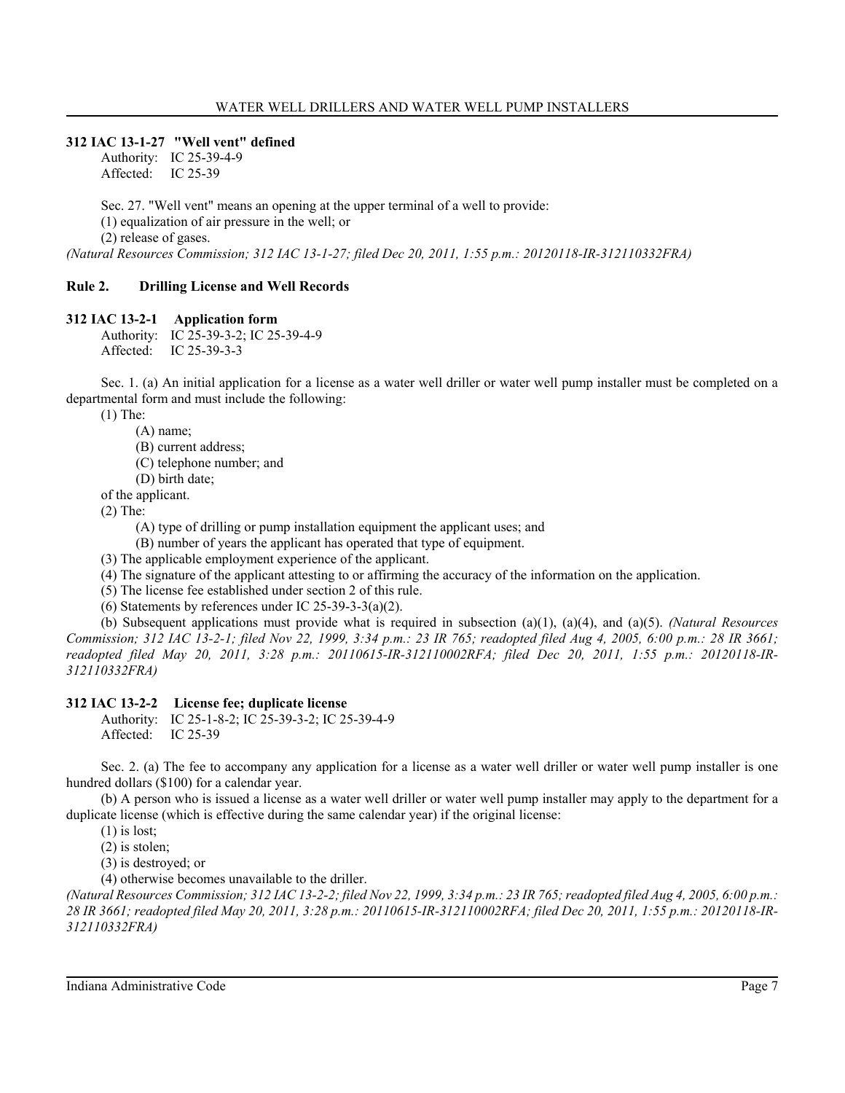#### **312 IAC 13-1-27 "Well vent" defined**

Authority: IC 25-39-4-9 Affected: IC 25-39

Sec. 27. "Well vent" means an opening at the upper terminal of a well to provide:

(1) equalization of air pressure in the well; or

(2) release of gases.

*(Natural Resources Commission; 312 IAC 13-1-27; filed Dec 20, 2011, 1:55 p.m.: 20120118-IR-312110332FRA)*

#### **Rule 2. Drilling License and Well Records**

#### **312 IAC 13-2-1 Application form**

Authority: IC 25-39-3-2; IC 25-39-4-9 Affected: IC 25-39-3-3

Sec. 1. (a) An initial application for a license as a water well driller or water well pump installer must be completed on a departmental form and must include the following:

(1) The:

(A) name;

(B) current address;

(C) telephone number; and

(D) birth date;

of the applicant.

(2) The:

(A) type of drilling or pump installation equipment the applicant uses; and

(B) number of years the applicant has operated that type of equipment.

(3) The applicable employment experience of the applicant.

(4) The signature of the applicant attesting to or affirming the accuracy of the information on the application.

(5) The license fee established under section 2 of this rule.

(6) Statements by references under IC 25-39-3-3(a)(2).

(b) Subsequent applications must provide what is required in subsection (a)(1), (a)(4), and (a)(5). *(Natural Resources Commission; 312 IAC 13-2-1; filed Nov 22, 1999, 3:34 p.m.: 23 IR 765; readopted filed Aug 4, 2005, 6:00 p.m.: 28 IR 3661; readopted filed May 20, 2011, 3:28 p.m.: 20110615-IR-312110002RFA; filed Dec 20, 2011, 1:55 p.m.: 20120118-IR-312110332FRA)*

# **312 IAC 13-2-2 License fee; duplicate license**

Authority: IC 25-1-8-2; IC 25-39-3-2; IC 25-39-4-9 Affected: IC 25-39

Sec. 2. (a) The fee to accompany any application for a license as a water well driller or water well pump installer is one hundred dollars (\$100) for a calendar year.

(b) A person who is issued a license as a water well driller or water well pump installer may apply to the department for a duplicate license (which is effective during the same calendar year) if the original license:

(1) is lost;

(2) is stolen;

(3) is destroyed; or

(4) otherwise becomes unavailable to the driller.

*(Natural Resources Commission; 312 IAC 13-2-2; filed Nov 22, 1999, 3:34 p.m.: 23 IR 765; readopted filed Aug 4, 2005, 6:00 p.m.: 28 IR 3661; readopted filed May 20, 2011, 3:28 p.m.: 20110615-IR-312110002RFA; filed Dec 20, 2011, 1:55 p.m.: 20120118-IR-312110332FRA)*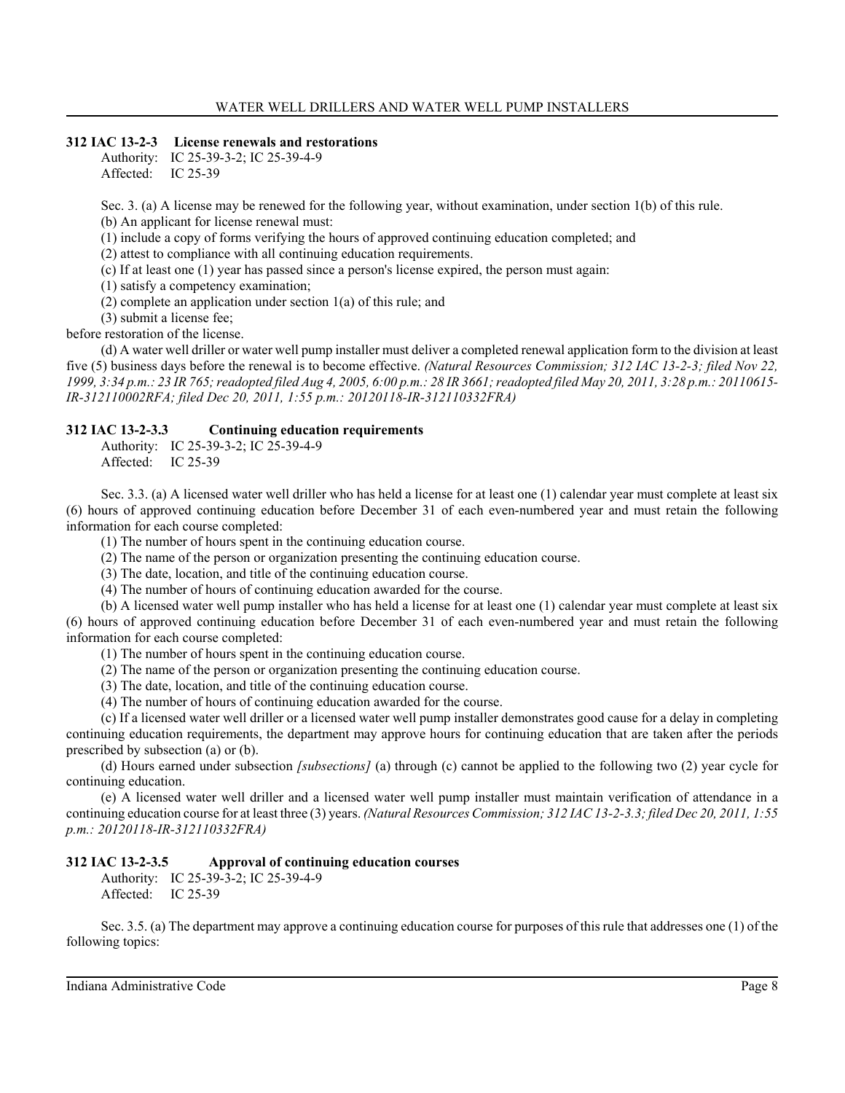# **312 IAC 13-2-3 License renewals and restorations**

Authority: IC 25-39-3-2; IC 25-39-4-9 Affected: IC 25-39

Sec. 3. (a) A license may be renewed for the following year, without examination, under section 1(b) of this rule. (b) An applicant for license renewal must:

(1) include a copy of forms verifying the hours of approved continuing education completed; and

(2) attest to compliance with all continuing education requirements.

(c) If at least one (1) year has passed since a person's license expired, the person must again:

(1) satisfy a competency examination;

(2) complete an application under section 1(a) of this rule; and

(3) submit a license fee; before restoration of the license.

(d) A water well driller or water well pump installer must deliver a completed renewal application form to the division at least five (5) business days before the renewal is to become effective. *(Natural Resources Commission; 312 IAC 13-2-3; filed Nov 22, 1999, 3:34 p.m.: 23 IR 765; readopted filed Aug 4, 2005, 6:00 p.m.: 28 IR 3661; readopted filed May 20, 2011, 3:28 p.m.: 20110615- IR-312110002RFA; filed Dec 20, 2011, 1:55 p.m.: 20120118-IR-312110332FRA)*

# **312 IAC 13-2-3.3 Continuing education requirements**

Authority: IC 25-39-3-2; IC 25-39-4-9 Affected: IC 25-39

Sec. 3.3. (a) A licensed water well driller who has held a license for at least one (1) calendar year must complete at least six (6) hours of approved continuing education before December 31 of each even-numbered year and must retain the following information for each course completed:

(1) The number of hours spent in the continuing education course.

(2) The name of the person or organization presenting the continuing education course.

(3) The date, location, and title of the continuing education course.

(4) The number of hours of continuing education awarded for the course.

(b) A licensed water well pump installer who has held a license for at least one (1) calendar year must complete at least six (6) hours of approved continuing education before December 31 of each even-numbered year and must retain the following information for each course completed:

(1) The number of hours spent in the continuing education course.

(2) The name of the person or organization presenting the continuing education course.

(3) The date, location, and title of the continuing education course.

(4) The number of hours of continuing education awarded for the course.

(c) If a licensed water well driller or a licensed water well pump installer demonstrates good cause for a delay in completing continuing education requirements, the department may approve hours for continuing education that are taken after the periods prescribed by subsection (a) or (b).

(d) Hours earned under subsection *[subsections]* (a) through (c) cannot be applied to the following two (2) year cycle for continuing education.

(e) A licensed water well driller and a licensed water well pump installer must maintain verification of attendance in a continuing education course for at least three (3) years. *(Natural Resources Commission; 312 IAC 13-2-3.3; filed Dec 20, 2011, 1:55 p.m.: 20120118-IR-312110332FRA)*

# **312 IAC 13-2-3.5 Approval of continuing education courses**

Authority: IC 25-39-3-2; IC 25-39-4-9 Affected: IC 25-39

Sec. 3.5. (a) The department may approve a continuing education course for purposes of this rule that addresses one (1) of the following topics: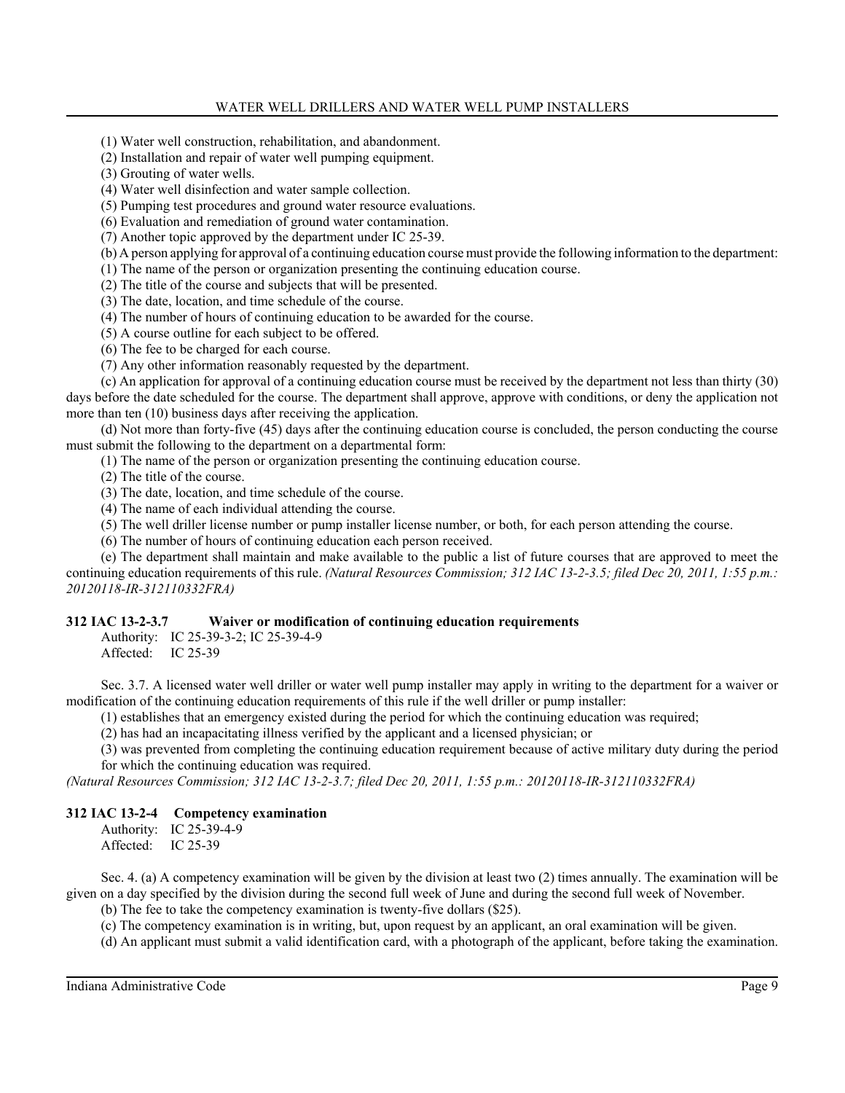(1) Water well construction, rehabilitation, and abandonment.

(2) Installation and repair of water well pumping equipment.

(3) Grouting of water wells.

(4) Water well disinfection and water sample collection.

(5) Pumping test procedures and ground water resource evaluations.

(6) Evaluation and remediation of ground water contamination.

(7) Another topic approved by the department under IC 25-39.

(b) A person applying for approval of a continuing education course must provide the following information to the department:

(1) The name of the person or organization presenting the continuing education course.

(2) The title of the course and subjects that will be presented.

(3) The date, location, and time schedule of the course.

(4) The number of hours of continuing education to be awarded for the course.

(5) A course outline for each subject to be offered.

(6) The fee to be charged for each course.

(7) Any other information reasonably requested by the department.

(c) An application for approval of a continuing education course must be received by the department not less than thirty (30) days before the date scheduled for the course. The department shall approve, approve with conditions, or deny the application not more than ten (10) business days after receiving the application.

(d) Not more than forty-five (45) days after the continuing education course is concluded, the person conducting the course must submit the following to the department on a departmental form:

(1) The name of the person or organization presenting the continuing education course.

(2) The title of the course.

(3) The date, location, and time schedule of the course.

(4) The name of each individual attending the course.

(5) The well driller license number or pump installer license number, or both, for each person attending the course.

(6) The number of hours of continuing education each person received.

(e) The department shall maintain and make available to the public a list of future courses that are approved to meet the continuing education requirements of this rule. *(Natural Resources Commission; 312 IAC 13-2-3.5; filed Dec 20, 2011, 1:55 p.m.: 20120118-IR-312110332FRA)*

### **312 IAC 13-2-3.7 Waiver or modification of continuing education requirements**

Authority: IC 25-39-3-2; IC 25-39-4-9

Affected: IC 25-39

Sec. 3.7. A licensed water well driller or water well pump installer may apply in writing to the department for a waiver or modification of the continuing education requirements of this rule if the well driller or pump installer:

(1) establishes that an emergency existed during the period for which the continuing education was required;

(2) has had an incapacitating illness verified by the applicant and a licensed physician; or

(3) was prevented from completing the continuing education requirement because of active military duty during the period for which the continuing education was required.

*(Natural Resources Commission; 312 IAC 13-2-3.7; filed Dec 20, 2011, 1:55 p.m.: 20120118-IR-312110332FRA)*

# **312 IAC 13-2-4 Competency examination**

Authority: IC 25-39-4-9 Affected: IC 25-39

Sec. 4. (a) A competency examination will be given by the division at least two (2) times annually. The examination will be given on a day specified by the division during the second full week of June and during the second full week of November.

(b) The fee to take the competency examination is twenty-five dollars (\$25).

(c) The competency examination is in writing, but, upon request by an applicant, an oral examination will be given.

(d) An applicant must submit a valid identification card, with a photograph of the applicant, before taking the examination.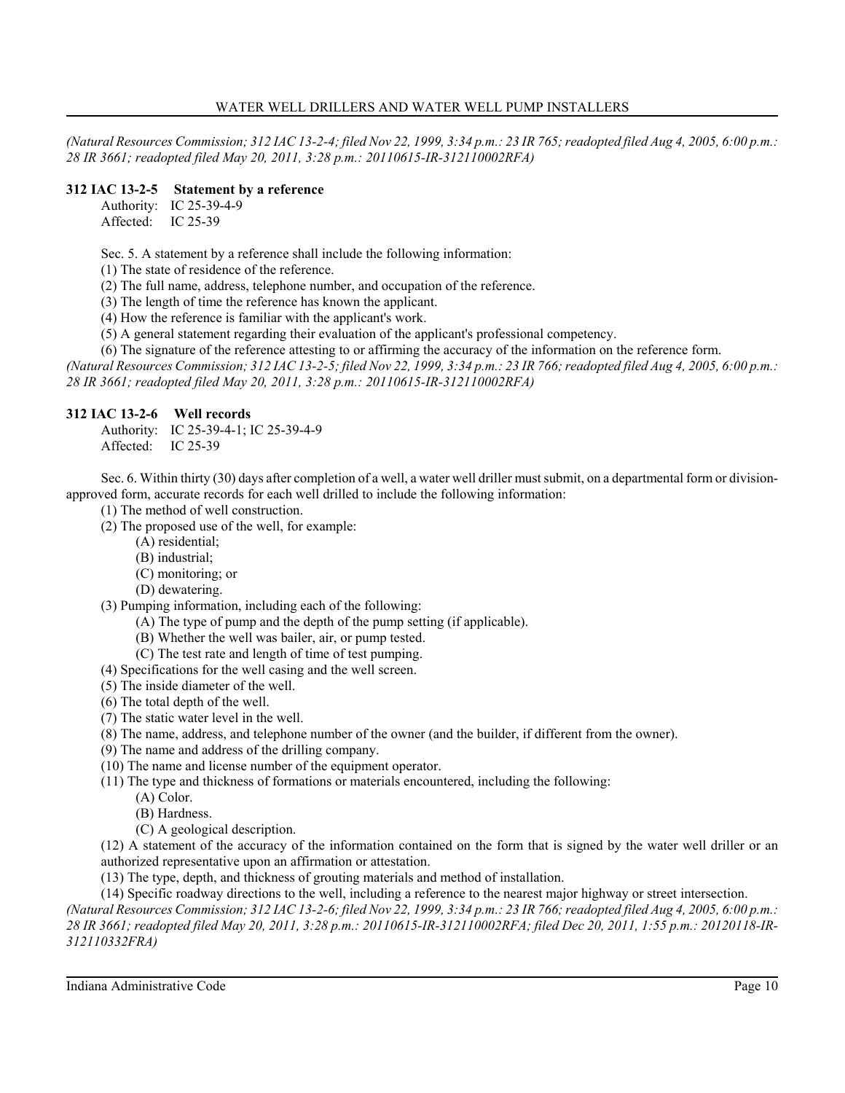*(Natural Resources Commission; 312 IAC 13-2-4; filed Nov 22, 1999, 3:34 p.m.: 23 IR 765; readopted filed Aug 4, 2005, 6:00 p.m.: 28 IR 3661; readopted filed May 20, 2011, 3:28 p.m.: 20110615-IR-312110002RFA)*

# **312 IAC 13-2-5 Statement by a reference**

Authority: IC 25-39-4-9 Affected: IC 25-39

Sec. 5. A statement by a reference shall include the following information:

(1) The state of residence of the reference.

(2) The full name, address, telephone number, and occupation of the reference.

(3) The length of time the reference has known the applicant.

(4) How the reference is familiar with the applicant's work.

(5) A general statement regarding their evaluation of the applicant's professional competency.

(6) The signature of the reference attesting to or affirming the accuracy of the information on the reference form.

*(Natural Resources Commission; 312 IAC 13-2-5; filed Nov 22, 1999, 3:34 p.m.: 23 IR 766; readopted filed Aug 4, 2005, 6:00 p.m.: 28 IR 3661; readopted filed May 20, 2011, 3:28 p.m.: 20110615-IR-312110002RFA)*

# **312 IAC 13-2-6 Well records**

Authority: IC 25-39-4-1; IC 25-39-4-9 Affected: IC 25-39

Sec. 6. Within thirty (30) days after completion of a well, a water well driller must submit, on a departmental form or divisionapproved form, accurate records for each well drilled to include the following information:

- (1) The method of well construction.
- (2) The proposed use of the well, for example:
	- (A) residential;
	- (B) industrial;
	- (C) monitoring; or
	- (D) dewatering.

(3) Pumping information, including each of the following:

- (A) The type of pump and the depth of the pump setting (if applicable).
- (B) Whether the well was bailer, air, or pump tested.
- (C) The test rate and length of time of test pumping.
- (4) Specifications for the well casing and the well screen.
- (5) The inside diameter of the well.
- (6) The total depth of the well.
- (7) The static water level in the well.
- (8) The name, address, and telephone number of the owner (and the builder, if different from the owner).
- (9) The name and address of the drilling company.
- (10) The name and license number of the equipment operator.
- (11) The type and thickness of formations or materials encountered, including the following:
	- (A) Color.
		- (B) Hardness.
	- (C) A geological description.

(12) A statement of the accuracy of the information contained on the form that is signed by the water well driller or an authorized representative upon an affirmation or attestation.

(13) The type, depth, and thickness of grouting materials and method of installation.

(14) Specific roadway directions to the well, including a reference to the nearest major highway or street intersection.

*(Natural Resources Commission; 312 IAC 13-2-6; filed Nov 22, 1999, 3:34 p.m.: 23 IR 766; readopted filed Aug 4, 2005, 6:00 p.m.: 28 IR 3661; readopted filed May 20, 2011, 3:28 p.m.: 20110615-IR-312110002RFA; filed Dec 20, 2011, 1:55 p.m.: 20120118-IR-312110332FRA)*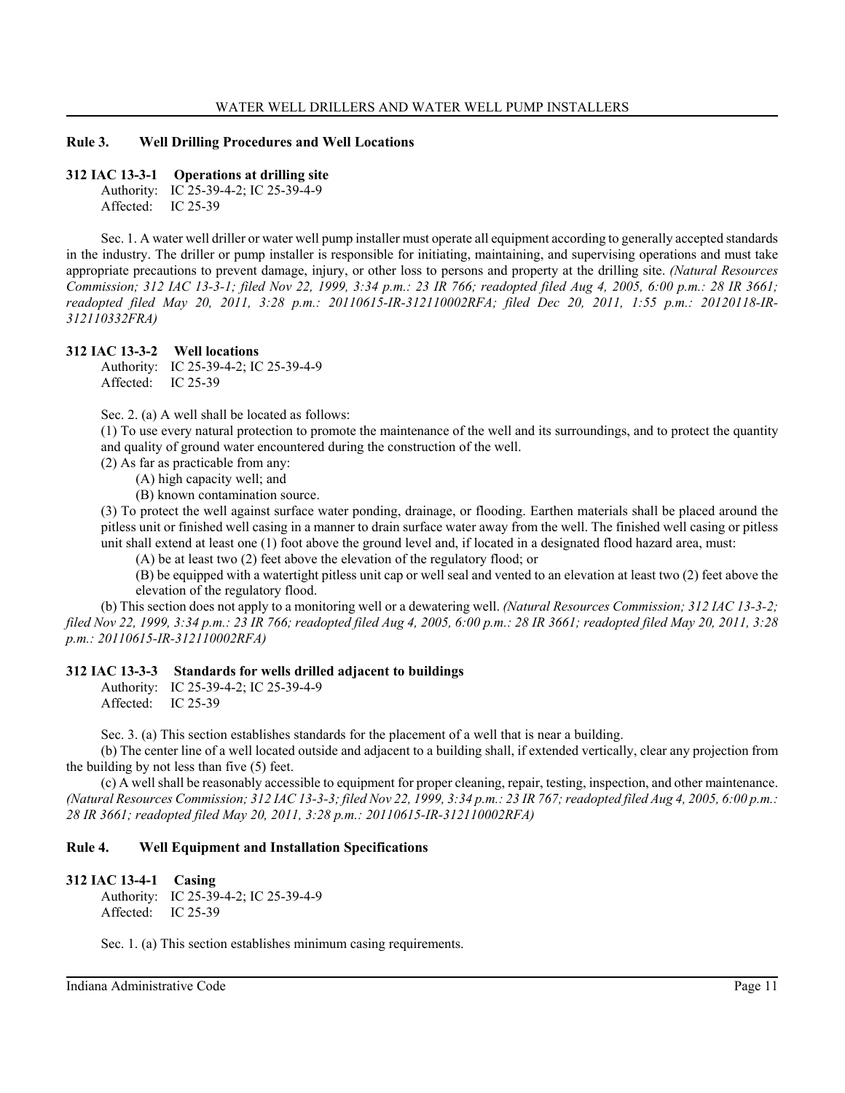#### **Rule 3. Well Drilling Procedures and Well Locations**

#### **312 IAC 13-3-1 Operations at drilling site**

Authority: IC 25-39-4-2; IC 25-39-4-9 Affected: IC 25-39

Sec. 1. A water well driller or water well pump installer must operate all equipment according to generally accepted standards in the industry. The driller or pump installer is responsible for initiating, maintaining, and supervising operations and must take appropriate precautions to prevent damage, injury, or other loss to persons and property at the drilling site. *(Natural Resources Commission; 312 IAC 13-3-1; filed Nov 22, 1999, 3:34 p.m.: 23 IR 766; readopted filed Aug 4, 2005, 6:00 p.m.: 28 IR 3661; readopted filed May 20, 2011, 3:28 p.m.: 20110615-IR-312110002RFA; filed Dec 20, 2011, 1:55 p.m.: 20120118-IR-312110332FRA)*

### **312 IAC 13-3-2 Well locations**

Authority: IC 25-39-4-2; IC 25-39-4-9 Affected: IC 25-39

Sec. 2. (a) A well shall be located as follows:

(1) To use every natural protection to promote the maintenance of the well and its surroundings, and to protect the quantity and quality of ground water encountered during the construction of the well.

(2) As far as practicable from any:

(A) high capacity well; and

(B) known contamination source.

(3) To protect the well against surface water ponding, drainage, or flooding. Earthen materials shall be placed around the pitless unit or finished well casing in a manner to drain surface water away from the well. The finished well casing or pitless unit shall extend at least one (1) foot above the ground level and, if located in a designated flood hazard area, must:

(A) be at least two (2) feet above the elevation of the regulatory flood; or

(B) be equipped with a watertight pitless unit cap or well seal and vented to an elevation at least two (2) feet above the elevation of the regulatory flood.

(b) This section does not apply to a monitoring well or a dewatering well. *(Natural Resources Commission; 312 IAC 13-3-2; filed Nov 22, 1999, 3:34 p.m.: 23 IR 766; readopted filed Aug 4, 2005, 6:00 p.m.: 28 IR 3661; readopted filed May 20, 2011, 3:28 p.m.: 20110615-IR-312110002RFA)*

#### **312 IAC 13-3-3 Standards for wells drilled adjacent to buildings**

Authority: IC 25-39-4-2; IC 25-39-4-9 Affected: IC 25-39

Sec. 3. (a) This section establishes standards for the placement of a well that is near a building.

(b) The center line of a well located outside and adjacent to a building shall, if extended vertically, clear any projection from the building by not less than five (5) feet.

(c) A well shall be reasonably accessible to equipment for proper cleaning, repair, testing, inspection, and other maintenance. *(Natural Resources Commission; 312 IAC 13-3-3; filed Nov 22, 1999, 3:34 p.m.: 23 IR 767; readopted filed Aug 4, 2005, 6:00 p.m.: 28 IR 3661; readopted filed May 20, 2011, 3:28 p.m.: 20110615-IR-312110002RFA)*

### **Rule 4. Well Equipment and Installation Specifications**

#### **312 IAC 13-4-1 Casing**

Authority: IC 25-39-4-2; IC 25-39-4-9 Affected: IC 25-39

Sec. 1. (a) This section establishes minimum casing requirements.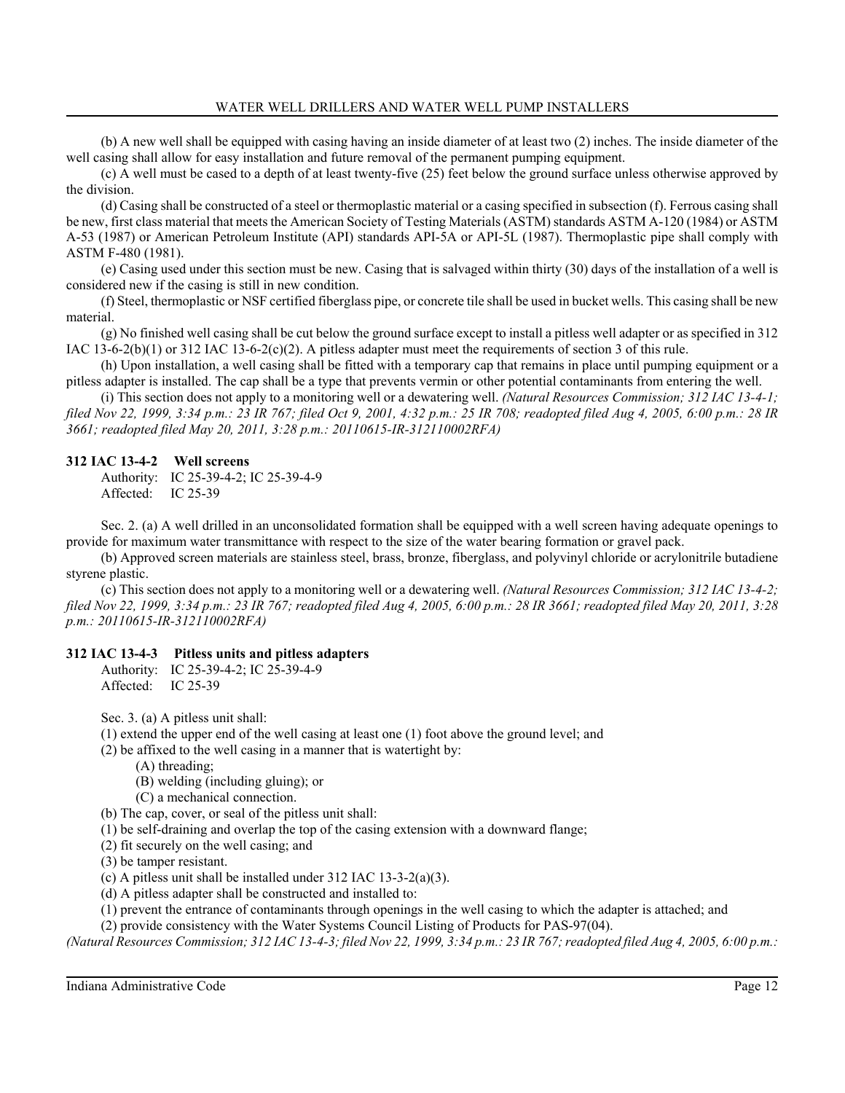(b) A new well shall be equipped with casing having an inside diameter of at least two (2) inches. The inside diameter of the well casing shall allow for easy installation and future removal of the permanent pumping equipment.

(c) A well must be cased to a depth of at least twenty-five (25) feet below the ground surface unless otherwise approved by the division.

(d) Casing shall be constructed of a steel or thermoplastic material or a casing specified in subsection (f). Ferrous casing shall be new, first class material that meets the American Society of Testing Materials (ASTM) standards ASTM A-120 (1984) or ASTM A-53 (1987) or American Petroleum Institute (API) standards API-5A or API-5L (1987). Thermoplastic pipe shall comply with ASTM F-480 (1981).

(e) Casing used under this section must be new. Casing that is salvaged within thirty (30) days of the installation of a well is considered new if the casing is still in new condition.

(f) Steel, thermoplastic or NSF certified fiberglass pipe, or concrete tile shall be used in bucket wells. This casing shall be new material.

(g) No finished well casing shall be cut below the ground surface except to install a pitless well adapter or as specified in 312 IAC 13-6-2(b)(1) or 312 IAC 13-6-2(c)(2). A pitless adapter must meet the requirements of section 3 of this rule.

(h) Upon installation, a well casing shall be fitted with a temporary cap that remains in place until pumping equipment or a pitless adapter is installed. The cap shall be a type that prevents vermin or other potential contaminants from entering the well.

(i) This section does not apply to a monitoring well or a dewatering well. *(Natural Resources Commission; 312 IAC 13-4-1; filed Nov 22, 1999, 3:34 p.m.: 23 IR 767; filed Oct 9, 2001, 4:32 p.m.: 25 IR 708; readopted filed Aug 4, 2005, 6:00 p.m.: 28 IR 3661; readopted filed May 20, 2011, 3:28 p.m.: 20110615-IR-312110002RFA)*

# **312 IAC 13-4-2 Well screens**

Authority: IC 25-39-4-2; IC 25-39-4-9 Affected: IC 25-39

Sec. 2. (a) A well drilled in an unconsolidated formation shall be equipped with a well screen having adequate openings to provide for maximum water transmittance with respect to the size of the water bearing formation or gravel pack.

(b) Approved screen materials are stainless steel, brass, bronze, fiberglass, and polyvinyl chloride or acrylonitrile butadiene styrene plastic.

(c) This section does not apply to a monitoring well or a dewatering well. *(Natural Resources Commission; 312 IAC 13-4-2; filed Nov 22, 1999, 3:34 p.m.: 23 IR 767; readopted filed Aug 4, 2005, 6:00 p.m.: 28 IR 3661; readopted filed May 20, 2011, 3:28 p.m.: 20110615-IR-312110002RFA)*

# **312 IAC 13-4-3 Pitless units and pitless adapters**

Authority: IC 25-39-4-2; IC 25-39-4-9 Affected: IC 25-39

Sec. 3. (a) A pitless unit shall:

(1) extend the upper end of the well casing at least one (1) foot above the ground level; and

(2) be affixed to the well casing in a manner that is watertight by:

(A) threading;

(B) welding (including gluing); or

(C) a mechanical connection.

(b) The cap, cover, or seal of the pitless unit shall:

(1) be self-draining and overlap the top of the casing extension with a downward flange;

(2) fit securely on the well casing; and

(3) be tamper resistant.

(c) A pitless unit shall be installed under 312 IAC 13-3-2(a)(3).

(d) A pitless adapter shall be constructed and installed to:

(1) prevent the entrance of contaminants through openings in the well casing to which the adapter is attached; and

(2) provide consistency with the Water Systems Council Listing of Products for PAS-97(04).

*(Natural Resources Commission; 312 IAC 13-4-3; filed Nov 22, 1999, 3:34 p.m.: 23 IR 767; readopted filed Aug 4, 2005, 6:00 p.m.:*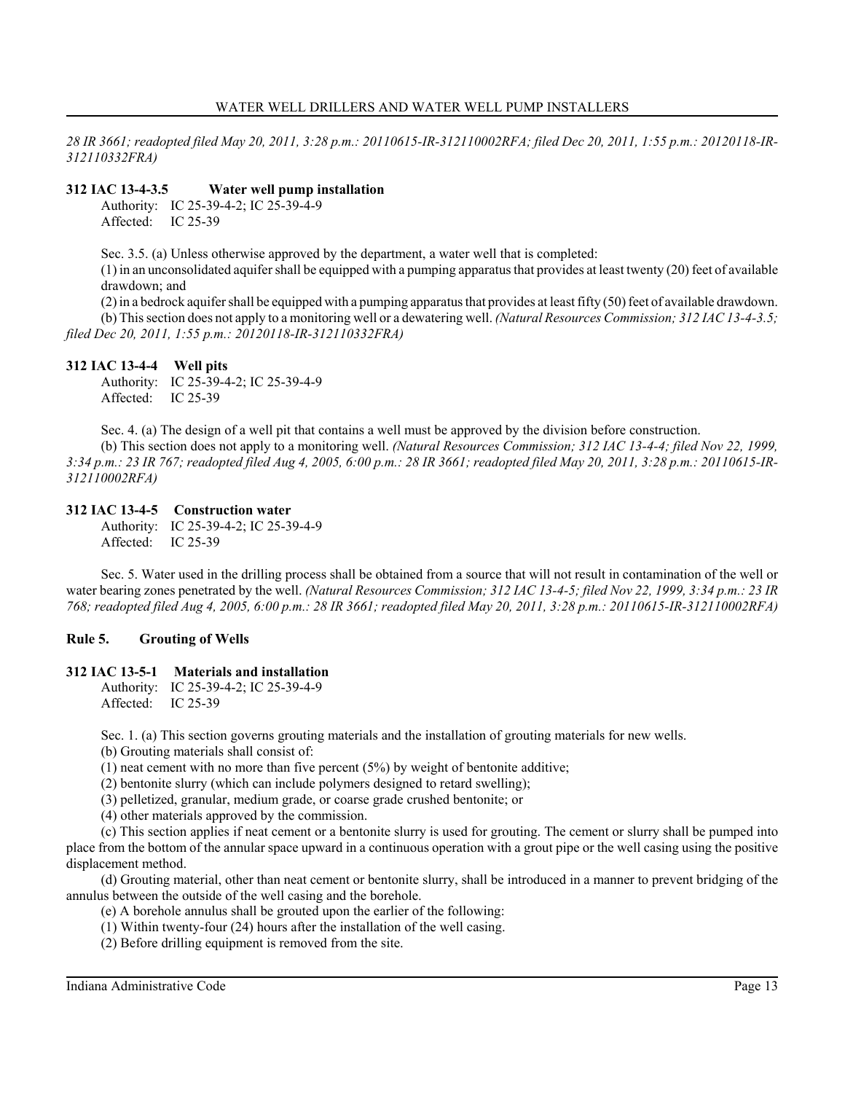*28 IR 3661; readopted filed May 20, 2011, 3:28 p.m.: 20110615-IR-312110002RFA; filed Dec 20, 2011, 1:55 p.m.: 20120118-IR-312110332FRA)*

# **312 IAC 13-4-3.5 Water well pump installation**

Authority: IC 25-39-4-2; IC 25-39-4-9 Affected: IC 25-39

Sec. 3.5. (a) Unless otherwise approved by the department, a water well that is completed:

(1) in an unconsolidated aquifer shall be equipped with a pumping apparatus that provides at least twenty (20) feet of available drawdown; and

(2) in a bedrock aquifer shall be equipped with a pumping apparatus that provides at least fifty (50) feet of available drawdown. (b) This section does not apply to a monitoring well or a dewatering well. *(Natural Resources Commission; 312 IAC 13-4-3.5; filed Dec 20, 2011, 1:55 p.m.: 20120118-IR-312110332FRA)*

# **312 IAC 13-4-4 Well pits**

Authority: IC 25-39-4-2; IC 25-39-4-9 Affected: IC 25-39

Sec. 4. (a) The design of a well pit that contains a well must be approved by the division before construction.

(b) This section does not apply to a monitoring well. *(Natural Resources Commission; 312 IAC 13-4-4; filed Nov 22, 1999, 3:34 p.m.: 23 IR 767; readopted filed Aug 4, 2005, 6:00 p.m.: 28 IR 3661; readopted filed May 20, 2011, 3:28 p.m.: 20110615-IR-312110002RFA)*

# **312 IAC 13-4-5 Construction water**

Authority: IC 25-39-4-2; IC 25-39-4-9 Affected: IC 25-39

Sec. 5. Water used in the drilling process shall be obtained from a source that will not result in contamination of the well or water bearing zones penetrated by the well. *(Natural Resources Commission; 312 IAC 13-4-5; filed Nov 22, 1999, 3:34 p.m.: 23 IR 768; readopted filed Aug 4, 2005, 6:00 p.m.: 28 IR 3661; readopted filed May 20, 2011, 3:28 p.m.: 20110615-IR-312110002RFA)*

# **Rule 5. Grouting of Wells**

# **312 IAC 13-5-1 Materials and installation**

Authority: IC 25-39-4-2; IC 25-39-4-9 Affected: IC 25-39

Sec. 1. (a) This section governs grouting materials and the installation of grouting materials for new wells.

(b) Grouting materials shall consist of:

(1) neat cement with no more than five percent  $(5%)$  by weight of bentonite additive;

(2) bentonite slurry (which can include polymers designed to retard swelling);

(3) pelletized, granular, medium grade, or coarse grade crushed bentonite; or

(4) other materials approved by the commission.

(c) This section applies if neat cement or a bentonite slurry is used for grouting. The cement or slurry shall be pumped into place from the bottom of the annular space upward in a continuous operation with a grout pipe or the well casing using the positive displacement method.

(d) Grouting material, other than neat cement or bentonite slurry, shall be introduced in a manner to prevent bridging of the annulus between the outside of the well casing and the borehole.

(e) A borehole annulus shall be grouted upon the earlier of the following:

(1) Within twenty-four (24) hours after the installation of the well casing.

(2) Before drilling equipment is removed from the site.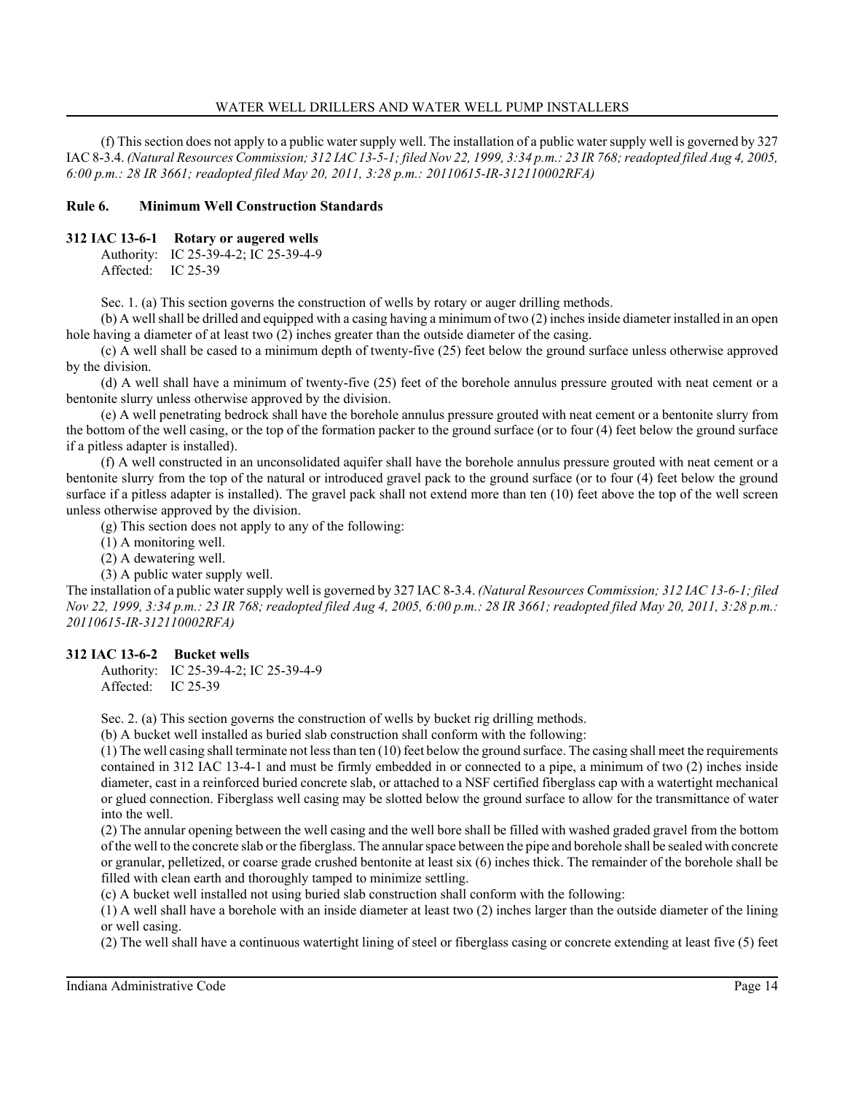(f) This section does not apply to a public water supply well. The installation of a public water supply well is governed by 327 IAC 8-3.4. *(Natural Resources Commission; 312 IAC 13-5-1; filed Nov 22, 1999, 3:34 p.m.: 23 IR 768; readopted filed Aug 4, 2005, 6:00 p.m.: 28 IR 3661; readopted filed May 20, 2011, 3:28 p.m.: 20110615-IR-312110002RFA)*

# **Rule 6. Minimum Well Construction Standards**

## **312 IAC 13-6-1 Rotary or augered wells**

Authority: IC 25-39-4-2; IC 25-39-4-9 Affected: IC 25-39

Sec. 1. (a) This section governs the construction of wells by rotary or auger drilling methods.

(b) A well shall be drilled and equipped with a casing having a minimum of two (2) inches inside diameter installed in an open hole having a diameter of at least two (2) inches greater than the outside diameter of the casing.

(c) A well shall be cased to a minimum depth of twenty-five (25) feet below the ground surface unless otherwise approved by the division.

(d) A well shall have a minimum of twenty-five (25) feet of the borehole annulus pressure grouted with neat cement or a bentonite slurry unless otherwise approved by the division.

(e) A well penetrating bedrock shall have the borehole annulus pressure grouted with neat cement or a bentonite slurry from the bottom of the well casing, or the top of the formation packer to the ground surface (or to four (4) feet below the ground surface if a pitless adapter is installed).

(f) A well constructed in an unconsolidated aquifer shall have the borehole annulus pressure grouted with neat cement or a bentonite slurry from the top of the natural or introduced gravel pack to the ground surface (or to four (4) feet below the ground surface if a pitless adapter is installed). The gravel pack shall not extend more than ten (10) feet above the top of the well screen unless otherwise approved by the division.

(g) This section does not apply to any of the following:

(1) A monitoring well.

(2) A dewatering well.

(3) A public water supply well.

The installation of a public water supply well is governed by 327 IAC 8-3.4. *(Natural Resources Commission; 312 IAC 13-6-1; filed Nov 22, 1999, 3:34 p.m.: 23 IR 768; readopted filed Aug 4, 2005, 6:00 p.m.: 28 IR 3661; readopted filed May 20, 2011, 3:28 p.m.: 20110615-IR-312110002RFA)*

# **312 IAC 13-6-2 Bucket wells**

Authority: IC 25-39-4-2; IC 25-39-4-9 Affected: IC 25-39

Sec. 2. (a) This section governs the construction of wells by bucket rig drilling methods.

(b) A bucket well installed as buried slab construction shall conform with the following:

(1) The well casing shall terminate not less than ten (10) feet below the ground surface. The casing shall meet the requirements contained in 312 IAC 13-4-1 and must be firmly embedded in or connected to a pipe, a minimum of two (2) inches inside diameter, cast in a reinforced buried concrete slab, or attached to a NSF certified fiberglass cap with a watertight mechanical or glued connection. Fiberglass well casing may be slotted below the ground surface to allow for the transmittance of water into the well.

(2) The annular opening between the well casing and the well bore shall be filled with washed graded gravel from the bottom of the well to the concrete slab or the fiberglass. The annular space between the pipe and borehole shall be sealed with concrete or granular, pelletized, or coarse grade crushed bentonite at least six (6) inches thick. The remainder of the borehole shall be filled with clean earth and thoroughly tamped to minimize settling.

(c) A bucket well installed not using buried slab construction shall conform with the following:

(1) A well shall have a borehole with an inside diameter at least two (2) inches larger than the outside diameter of the lining or well casing.

(2) The well shall have a continuous watertight lining of steel or fiberglass casing or concrete extending at least five (5) feet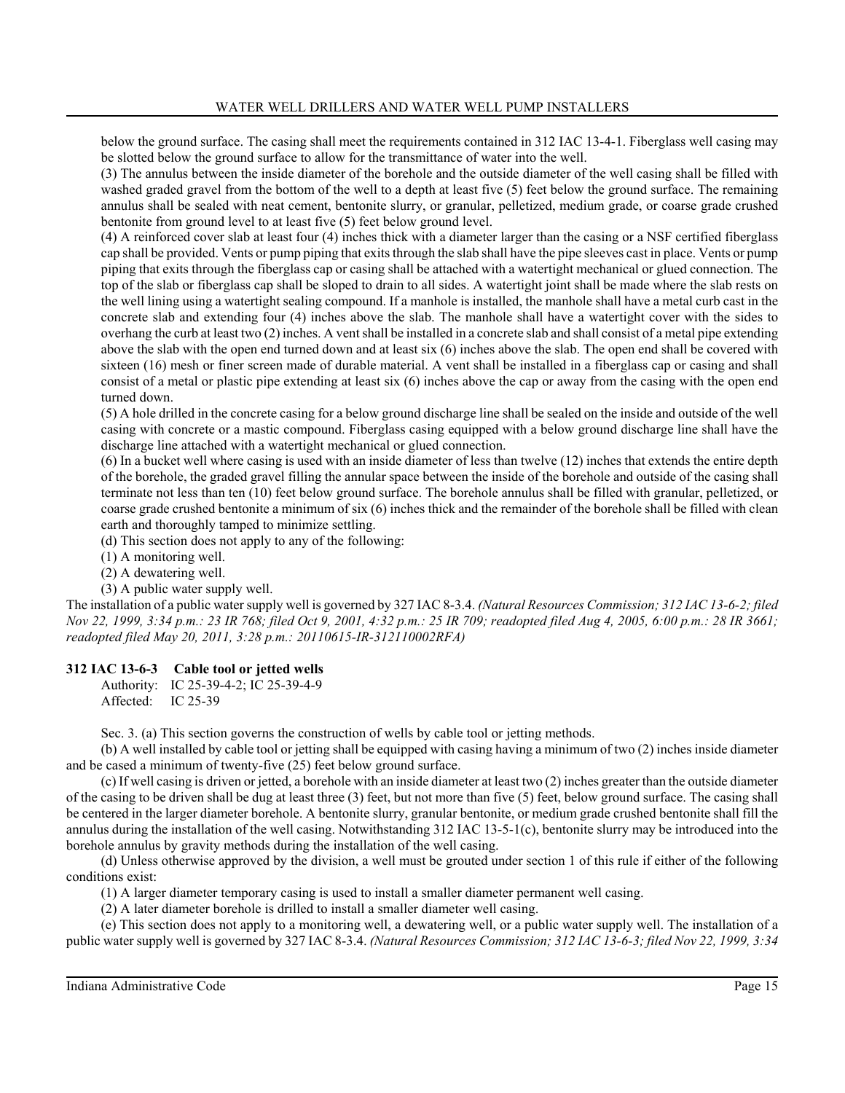below the ground surface. The casing shall meet the requirements contained in 312 IAC 13-4-1. Fiberglass well casing may be slotted below the ground surface to allow for the transmittance of water into the well.

(3) The annulus between the inside diameter of the borehole and the outside diameter of the well casing shall be filled with washed graded gravel from the bottom of the well to a depth at least five (5) feet below the ground surface. The remaining annulus shall be sealed with neat cement, bentonite slurry, or granular, pelletized, medium grade, or coarse grade crushed bentonite from ground level to at least five (5) feet below ground level.

(4) A reinforced cover slab at least four (4) inches thick with a diameter larger than the casing or a NSF certified fiberglass cap shall be provided. Vents or pump piping that exits through the slab shall have the pipe sleeves cast in place. Vents or pump piping that exits through the fiberglass cap or casing shall be attached with a watertight mechanical or glued connection. The top of the slab or fiberglass cap shall be sloped to drain to all sides. A watertight joint shall be made where the slab rests on the well lining using a watertight sealing compound. If a manhole is installed, the manhole shall have a metal curb cast in the concrete slab and extending four (4) inches above the slab. The manhole shall have a watertight cover with the sides to overhang the curb at least two (2) inches. A vent shall be installed in a concrete slab and shall consist of a metal pipe extending above the slab with the open end turned down and at least six (6) inches above the slab. The open end shall be covered with sixteen (16) mesh or finer screen made of durable material. A vent shall be installed in a fiberglass cap or casing and shall consist of a metal or plastic pipe extending at least six (6) inches above the cap or away from the casing with the open end turned down.

(5) A hole drilled in the concrete casing for a below ground discharge line shall be sealed on the inside and outside of the well casing with concrete or a mastic compound. Fiberglass casing equipped with a below ground discharge line shall have the discharge line attached with a watertight mechanical or glued connection.

(6) In a bucket well where casing is used with an inside diameter of less than twelve (12) inches that extends the entire depth of the borehole, the graded gravel filling the annular space between the inside of the borehole and outside of the casing shall terminate not less than ten (10) feet below ground surface. The borehole annulus shall be filled with granular, pelletized, or coarse grade crushed bentonite a minimum of six (6) inches thick and the remainder of the borehole shall be filled with clean earth and thoroughly tamped to minimize settling.

(d) This section does not apply to any of the following:

(1) A monitoring well.

(2) A dewatering well.

(3) A public water supply well.

The installation of a public water supply well is governed by 327 IAC 8-3.4. *(Natural Resources Commission; 312 IAC 13-6-2; filed Nov 22, 1999, 3:34 p.m.: 23 IR 768; filed Oct 9, 2001, 4:32 p.m.: 25 IR 709; readopted filed Aug 4, 2005, 6:00 p.m.: 28 IR 3661; readopted filed May 20, 2011, 3:28 p.m.: 20110615-IR-312110002RFA)*

# **312 IAC 13-6-3 Cable tool or jetted wells**

Authority: IC 25-39-4-2; IC 25-39-4-9 Affected: IC 25-39

Sec. 3. (a) This section governs the construction of wells by cable tool or jetting methods.

(b) A well installed by cable tool or jetting shall be equipped with casing having a minimum of two (2) inches inside diameter and be cased a minimum of twenty-five (25) feet below ground surface.

(c) If well casing is driven or jetted, a borehole with an inside diameter at least two (2) inches greater than the outside diameter of the casing to be driven shall be dug at least three (3) feet, but not more than five (5) feet, below ground surface. The casing shall be centered in the larger diameter borehole. A bentonite slurry, granular bentonite, or medium grade crushed bentonite shall fill the annulus during the installation of the well casing. Notwithstanding 312 IAC 13-5-1(c), bentonite slurry may be introduced into the borehole annulus by gravity methods during the installation of the well casing.

(d) Unless otherwise approved by the division, a well must be grouted under section 1 of this rule if either of the following conditions exist:

(1) A larger diameter temporary casing is used to install a smaller diameter permanent well casing.

(2) A later diameter borehole is drilled to install a smaller diameter well casing.

(e) This section does not apply to a monitoring well, a dewatering well, or a public water supply well. The installation of a public water supply well is governed by 327 IAC 8-3.4. *(Natural Resources Commission; 312 IAC 13-6-3; filed Nov 22, 1999, 3:34*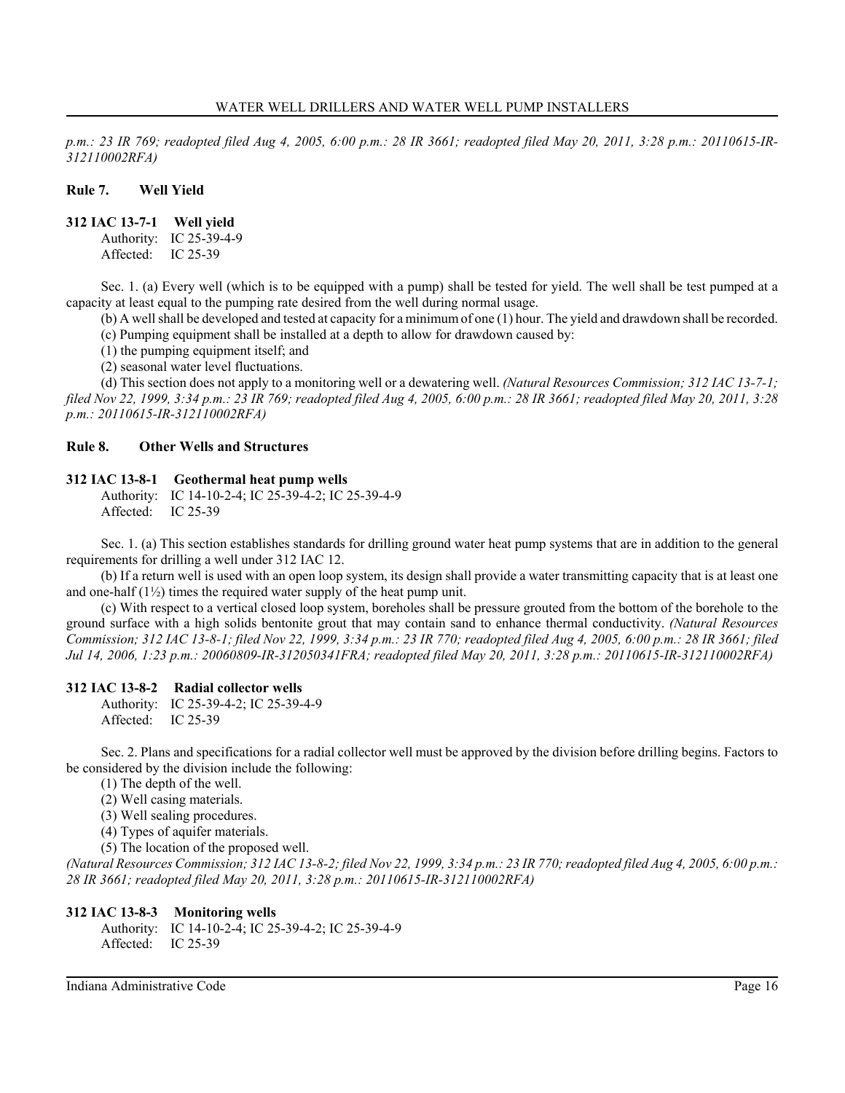*p.m.: 23 IR 769; readopted filed Aug 4, 2005, 6:00 p.m.: 28 IR 3661; readopted filed May 20, 2011, 3:28 p.m.: 20110615-IR-312110002RFA)*

### **Rule 7. Well Yield**

**312 IAC 13-7-1 Well yield**

Authority: IC 25-39-4-9 Affected: IC 25-39

Sec. 1. (a) Every well (which is to be equipped with a pump) shall be tested for yield. The well shall be test pumped at a capacity at least equal to the pumping rate desired from the well during normal usage.

(b) A well shall be developed and tested at capacity for a minimum of one (1) hour. The yield and drawdown shall be recorded. (c) Pumping equipment shall be installed at a depth to allow for drawdown caused by:

(1) the pumping equipment itself; and

(2) seasonal water level fluctuations.

(d) This section does not apply to a monitoring well or a dewatering well. *(Natural Resources Commission; 312 IAC 13-7-1; filed Nov 22, 1999, 3:34 p.m.: 23 IR 769; readopted filed Aug 4, 2005, 6:00 p.m.: 28 IR 3661; readopted filed May 20, 2011, 3:28 p.m.: 20110615-IR-312110002RFA)*

### **Rule 8. Other Wells and Structures**

### **312 IAC 13-8-1 Geothermal heat pump wells**

Authority: IC 14-10-2-4; IC 25-39-4-2; IC 25-39-4-9 Affected: IC 25-39

Sec. 1. (a) This section establishes standards for drilling ground water heat pump systems that are in addition to the general requirements for drilling a well under 312 IAC 12.

(b) If a return well is used with an open loop system, its design shall provide a water transmitting capacity that is at least one and one-half  $(1\frac{1}{2})$  times the required water supply of the heat pump unit.

(c) With respect to a vertical closed loop system, boreholes shall be pressure grouted from the bottom of the borehole to the ground surface with a high solids bentonite grout that may contain sand to enhance thermal conductivity. *(Natural Resources Commission; 312 IAC 13-8-1; filed Nov 22, 1999, 3:34 p.m.: 23 IR 770; readopted filed Aug 4, 2005, 6:00 p.m.: 28 IR 3661; filed Jul 14, 2006, 1:23 p.m.: 20060809-IR-312050341FRA; readopted filed May 20, 2011, 3:28 p.m.: 20110615-IR-312110002RFA)*

# **312 IAC 13-8-2 Radial collector wells**

Authority: IC 25-39-4-2; IC 25-39-4-9 Affected: IC 25-39

Sec. 2. Plans and specifications for a radial collector well must be approved by the division before drilling begins. Factors to be considered by the division include the following:

- (1) The depth of the well.
- (2) Well casing materials.
- (3) Well sealing procedures.
- (4) Types of aquifer materials.
- (5) The location of the proposed well.

*(Natural Resources Commission; 312 IAC 13-8-2; filed Nov 22, 1999, 3:34 p.m.: 23 IR 770; readopted filed Aug 4, 2005, 6:00 p.m.: 28 IR 3661; readopted filed May 20, 2011, 3:28 p.m.: 20110615-IR-312110002RFA)*

#### **312 IAC 13-8-3 Monitoring wells**

Authority: IC 14-10-2-4; IC 25-39-4-2; IC 25-39-4-9 Affected: IC 25-39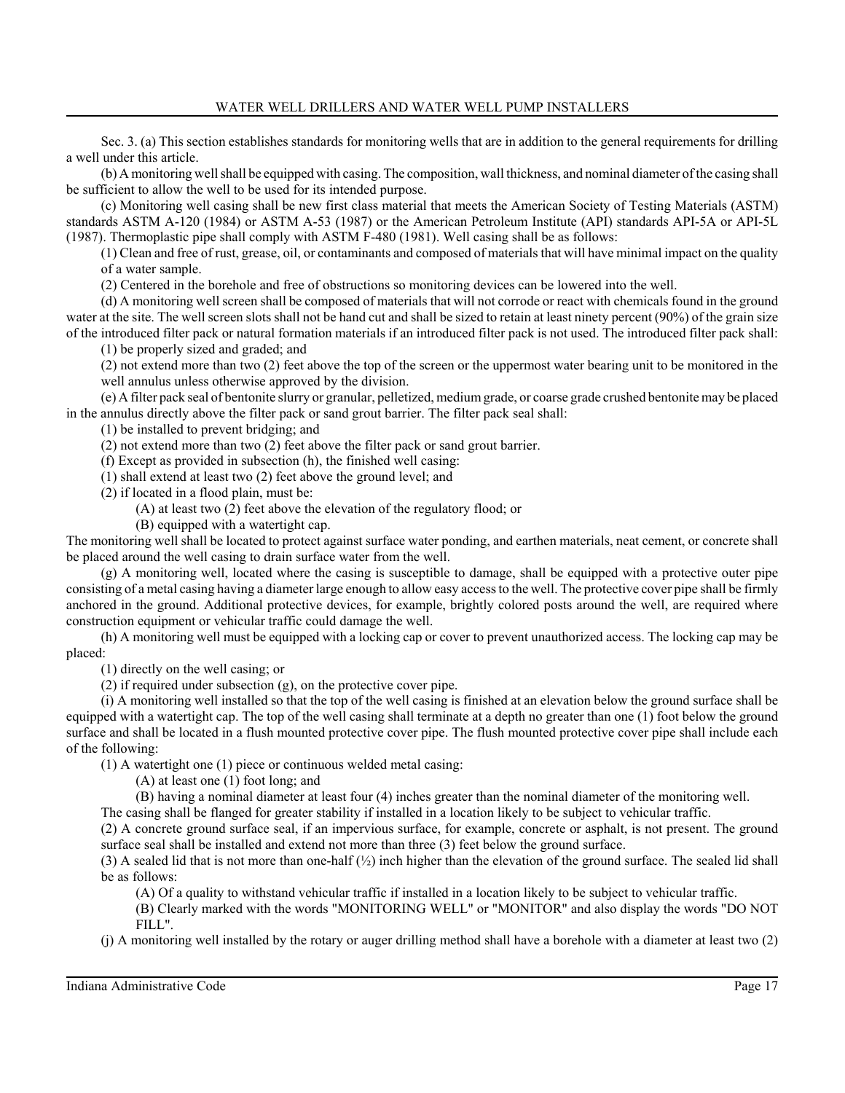Sec. 3. (a) This section establishes standards for monitoring wells that are in addition to the general requirements for drilling a well under this article.

(b) A monitoring well shall be equipped with casing. The composition, wall thickness, and nominal diameter of the casing shall be sufficient to allow the well to be used for its intended purpose.

(c) Monitoring well casing shall be new first class material that meets the American Society of Testing Materials (ASTM) standards ASTM A-120 (1984) or ASTM A-53 (1987) or the American Petroleum Institute (API) standards API-5A or API-5L (1987). Thermoplastic pipe shall comply with ASTM F-480 (1981). Well casing shall be as follows:

(1) Clean and free of rust, grease, oil, or contaminants and composed of materials that will have minimal impact on the quality of a water sample.

(2) Centered in the borehole and free of obstructions so monitoring devices can be lowered into the well.

(d) A monitoring well screen shall be composed of materials that will not corrode or react with chemicals found in the ground water at the site. The well screen slots shall not be hand cut and shall be sized to retain at least ninety percent (90%) of the grain size of the introduced filter pack or natural formation materials if an introduced filter pack is not used. The introduced filter pack shall:

(1) be properly sized and graded; and

(2) not extend more than two (2) feet above the top of the screen or the uppermost water bearing unit to be monitored in the well annulus unless otherwise approved by the division.

(e) A filter pack seal of bentonite slurry or granular, pelletized, medium grade, or coarse grade crushed bentonite may be placed in the annulus directly above the filter pack or sand grout barrier. The filter pack seal shall:

(1) be installed to prevent bridging; and

(2) not extend more than two (2) feet above the filter pack or sand grout barrier.

(f) Except as provided in subsection (h), the finished well casing:

(1) shall extend at least two (2) feet above the ground level; and

(2) if located in a flood plain, must be:

(A) at least two (2) feet above the elevation of the regulatory flood; or

(B) equipped with a watertight cap.

The monitoring well shall be located to protect against surface water ponding, and earthen materials, neat cement, or concrete shall be placed around the well casing to drain surface water from the well.

(g) A monitoring well, located where the casing is susceptible to damage, shall be equipped with a protective outer pipe consisting of a metal casing having a diameter large enough to allow easy access to the well. The protective cover pipe shall be firmly anchored in the ground. Additional protective devices, for example, brightly colored posts around the well, are required where construction equipment or vehicular traffic could damage the well.

(h) A monitoring well must be equipped with a locking cap or cover to prevent unauthorized access. The locking cap may be placed:

(1) directly on the well casing; or

(2) if required under subsection (g), on the protective cover pipe.

(i) A monitoring well installed so that the top of the well casing is finished at an elevation below the ground surface shall be equipped with a watertight cap. The top of the well casing shall terminate at a depth no greater than one (1) foot below the ground surface and shall be located in a flush mounted protective cover pipe. The flush mounted protective cover pipe shall include each of the following:

(1) A watertight one (1) piece or continuous welded metal casing:

(A) at least one (1) foot long; and

(B) having a nominal diameter at least four (4) inches greater than the nominal diameter of the monitoring well.

The casing shall be flanged for greater stability if installed in a location likely to be subject to vehicular traffic.

(2) A concrete ground surface seal, if an impervious surface, for example, concrete or asphalt, is not present. The ground surface seal shall be installed and extend not more than three (3) feet below the ground surface.

(3) A sealed lid that is not more than one-half (½) inch higher than the elevation of the ground surface. The sealed lid shall be as follows:

(A) Of a quality to withstand vehicular traffic if installed in a location likely to be subject to vehicular traffic.

(B) Clearly marked with the words "MONITORING WELL" or "MONITOR" and also display the words "DO NOT FILL".

(j) A monitoring well installed by the rotary or auger drilling method shall have a borehole with a diameter at least two (2)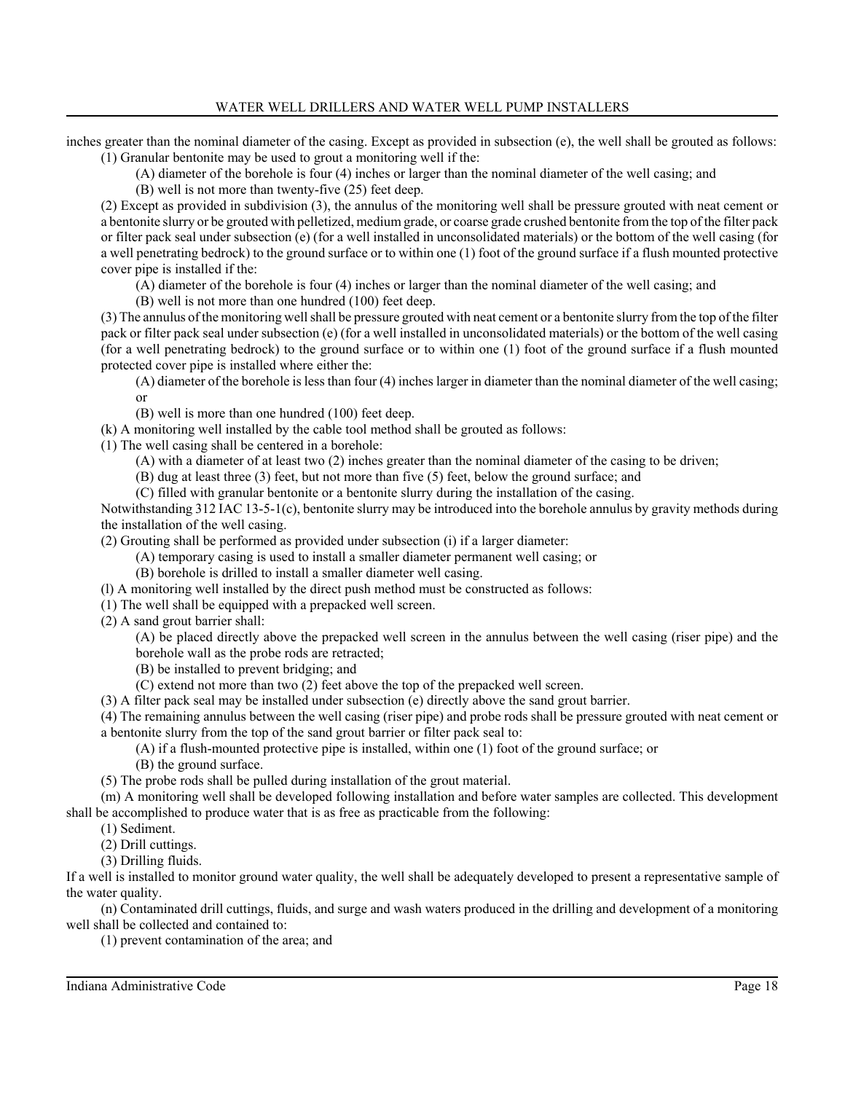inches greater than the nominal diameter of the casing. Except as provided in subsection (e), the well shall be grouted as follows: (1) Granular bentonite may be used to grout a monitoring well if the:

(A) diameter of the borehole is four (4) inches or larger than the nominal diameter of the well casing; and

(B) well is not more than twenty-five (25) feet deep.

(2) Except as provided in subdivision (3), the annulus of the monitoring well shall be pressure grouted with neat cement or a bentonite slurry or be grouted with pelletized, medium grade, or coarse grade crushed bentonite from the top of the filter pack or filter pack seal under subsection (e) (for a well installed in unconsolidated materials) or the bottom of the well casing (for a well penetrating bedrock) to the ground surface or to within one (1) foot of the ground surface if a flush mounted protective cover pipe is installed if the:

(A) diameter of the borehole is four (4) inches or larger than the nominal diameter of the well casing; and

(B) well is not more than one hundred (100) feet deep.

(3) The annulus of the monitoring well shall be pressure grouted with neat cement or a bentonite slurry from the top of the filter pack or filter pack seal under subsection (e) (for a well installed in unconsolidated materials) or the bottom of the well casing (for a well penetrating bedrock) to the ground surface or to within one (1) foot of the ground surface if a flush mounted protected cover pipe is installed where either the:

(A) diameter of the borehole is less than four (4) inches larger in diameter than the nominal diameter of the well casing; or

(B) well is more than one hundred (100) feet deep.

(k) A monitoring well installed by the cable tool method shall be grouted as follows:

(1) The well casing shall be centered in a borehole:

(A) with a diameter of at least two (2) inches greater than the nominal diameter of the casing to be driven;

(B) dug at least three (3) feet, but not more than five (5) feet, below the ground surface; and

(C) filled with granular bentonite or a bentonite slurry during the installation of the casing.

Notwithstanding 312 IAC 13-5-1(c), bentonite slurry may be introduced into the borehole annulus by gravity methods during the installation of the well casing.

(2) Grouting shall be performed as provided under subsection (i) if a larger diameter:

(A) temporary casing is used to install a smaller diameter permanent well casing; or

(B) borehole is drilled to install a smaller diameter well casing.

(l) A monitoring well installed by the direct push method must be constructed as follows:

(1) The well shall be equipped with a prepacked well screen.

(2) A sand grout barrier shall:

(A) be placed directly above the prepacked well screen in the annulus between the well casing (riser pipe) and the borehole wall as the probe rods are retracted;

(B) be installed to prevent bridging; and

(C) extend not more than two (2) feet above the top of the prepacked well screen.

(3) A filter pack seal may be installed under subsection (e) directly above the sand grout barrier.

(4) The remaining annulus between the well casing (riser pipe) and probe rods shall be pressure grouted with neat cement or a bentonite slurry from the top of the sand grout barrier or filter pack seal to:

(A) if a flush-mounted protective pipe is installed, within one (1) foot of the ground surface; or

(B) the ground surface.

(5) The probe rods shall be pulled during installation of the grout material.

(m) A monitoring well shall be developed following installation and before water samples are collected. This development shall be accomplished to produce water that is as free as practicable from the following:

(1) Sediment.

(2) Drill cuttings.

(3) Drilling fluids.

If a well is installed to monitor ground water quality, the well shall be adequately developed to present a representative sample of the water quality.

(n) Contaminated drill cuttings, fluids, and surge and wash waters produced in the drilling and development of a monitoring well shall be collected and contained to:

(1) prevent contamination of the area; and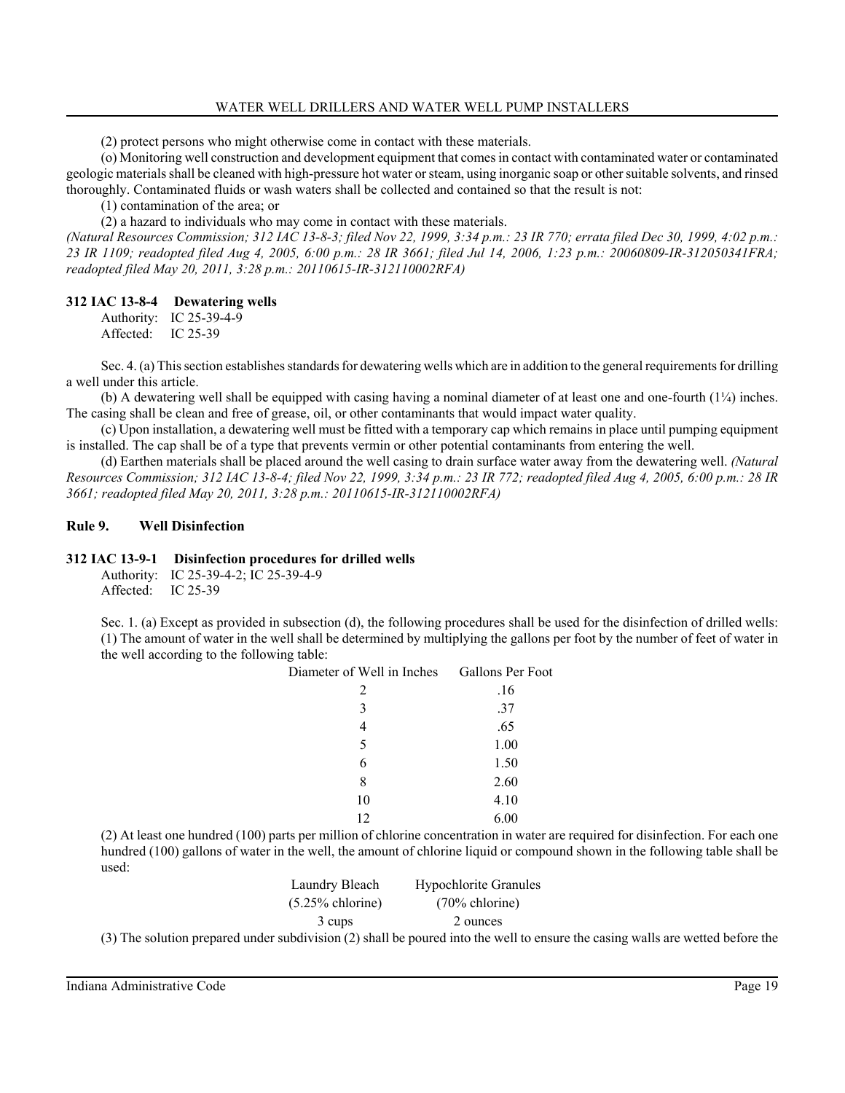(2) protect persons who might otherwise come in contact with these materials.

(o) Monitoring well construction and development equipment that comes in contact with contaminated water or contaminated geologic materials shall be cleaned with high-pressure hot water or steam, using inorganic soap or other suitable solvents, and rinsed thoroughly. Contaminated fluids or wash waters shall be collected and contained so that the result is not:

(1) contamination of the area; or

(2) a hazard to individuals who may come in contact with these materials.

*(Natural Resources Commission; 312 IAC 13-8-3; filed Nov 22, 1999, 3:34 p.m.: 23 IR 770; errata filed Dec 30, 1999, 4:02 p.m.: 23 IR 1109; readopted filed Aug 4, 2005, 6:00 p.m.: 28 IR 3661; filed Jul 14, 2006, 1:23 p.m.: 20060809-IR-312050341FRA; readopted filed May 20, 2011, 3:28 p.m.: 20110615-IR-312110002RFA)*

# **312 IAC 13-8-4 Dewatering wells**

Authority: IC 25-39-4-9 Affected: IC 25-39

Sec. 4. (a) This section establishes standards for dewatering wells which are in addition to the general requirements for drilling a well under this article.

(b) A dewatering well shall be equipped with casing having a nominal diameter of at least one and one-fourth (1¼) inches. The casing shall be clean and free of grease, oil, or other contaminants that would impact water quality.

(c) Upon installation, a dewatering well must be fitted with a temporary cap which remains in place until pumping equipment is installed. The cap shall be of a type that prevents vermin or other potential contaminants from entering the well.

(d) Earthen materials shall be placed around the well casing to drain surface water away from the dewatering well. *(Natural Resources Commission; 312 IAC 13-8-4; filed Nov 22, 1999, 3:34 p.m.: 23 IR 772; readopted filed Aug 4, 2005, 6:00 p.m.: 28 IR 3661; readopted filed May 20, 2011, 3:28 p.m.: 20110615-IR-312110002RFA)*

# **Rule 9. Well Disinfection**

# **312 IAC 13-9-1 Disinfection procedures for drilled wells**

Authority: IC 25-39-4-2; IC 25-39-4-9 Affected: IC 25-39

Sec. 1. (a) Except as provided in subsection (d), the following procedures shall be used for the disinfection of drilled wells: (1) The amount of water in the well shall be determined by multiplying the gallons per foot by the number of feet of water in the well according to the following table:

| Diameter of Well in Inches | <b>Gallons Per Foot</b> |  |  |  |  |
|----------------------------|-------------------------|--|--|--|--|
| 2                          | .16                     |  |  |  |  |
| 3                          | .37                     |  |  |  |  |
| 4                          | .65                     |  |  |  |  |
| 5                          | 1.00                    |  |  |  |  |
| 6                          | 1.50                    |  |  |  |  |
| 8                          | 2.60                    |  |  |  |  |
| 10                         | 4.10                    |  |  |  |  |
| 12                         | 6.00                    |  |  |  |  |

(2) At least one hundred (100) parts per million of chlorine concentration in water are required for disinfection. For each one hundred (100) gallons of water in the well, the amount of chlorine liquid or compound shown in the following table shall be used:

| Laundry Bleach      | <b>Hypochlorite Granules</b> |  |  |  |  |  |
|---------------------|------------------------------|--|--|--|--|--|
| $(5.25\%$ chlorine) | $(70\%$ chlorine)            |  |  |  |  |  |
| 3 cups              | 2 ounces                     |  |  |  |  |  |
|                     |                              |  |  |  |  |  |

(3) The solution prepared under subdivision (2) shall be poured into the well to ensure the casing walls are wetted before the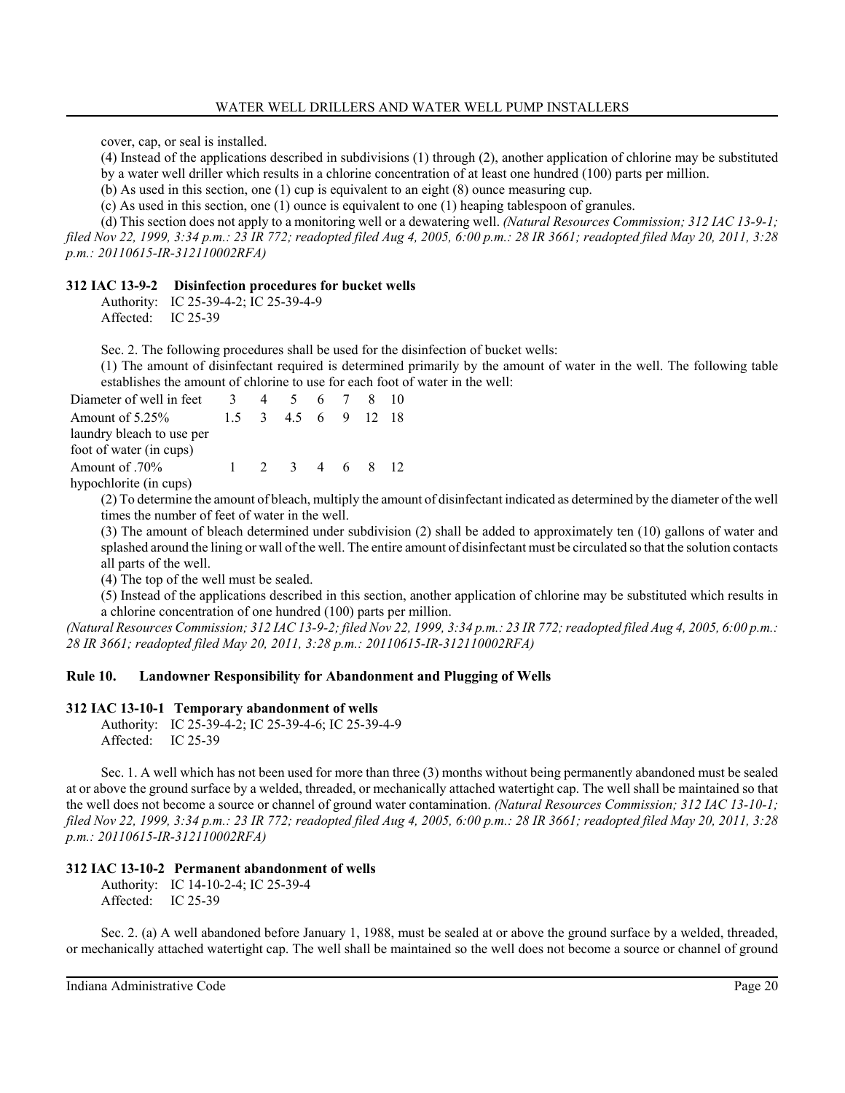cover, cap, or seal is installed.

(4) Instead of the applications described in subdivisions (1) through (2), another application of chlorine may be substituted

by a water well driller which results in a chlorine concentration of at least one hundred (100) parts per million.

(b) As used in this section, one (1) cup is equivalent to an eight (8) ounce measuring cup.

(c) As used in this section, one (1) ounce is equivalent to one (1) heaping tablespoon of granules.

(d) This section does not apply to a monitoring well or a dewatering well. *(Natural Resources Commission; 312 IAC 13-9-1; filed Nov 22, 1999, 3:34 p.m.: 23 IR 772; readopted filed Aug 4, 2005, 6:00 p.m.: 28 IR 3661; readopted filed May 20, 2011, 3:28*

*p.m.: 20110615-IR-312110002RFA)*

# **312 IAC 13-9-2 Disinfection procedures for bucket wells**

Authority: IC 25-39-4-2; IC 25-39-4-9 Affected: IC 25-39

Sec. 2. The following procedures shall be used for the disinfection of bucket wells:

(1) The amount of disinfectant required is determined primarily by the amount of water in the well. The following table establishes the amount of chlorine to use for each foot of water in the well:

| Diameter of well in feet                             | $\mathcal{R}$ | 4 | 5 6 7 8 10   |  |      |
|------------------------------------------------------|---------------|---|--------------|--|------|
| Amount of $5.25\%$                                   | 15            |   | 3 45 6 9 12  |  | - 18 |
| laundry bleach to use per<br>foot of water (in cups) |               |   |              |  |      |
| Amount of .70%<br>hypochlorite (in cups)             |               |   | 2 3 4 6 8 12 |  |      |

(2) To determine the amount of bleach, multiply the amount of disinfectant indicated as determined by the diameter of the well times the number of feet of water in the well.

(3) The amount of bleach determined under subdivision (2) shall be added to approximately ten (10) gallons of water and splashed around the lining or wall of the well. The entire amount of disinfectant must be circulated so that the solution contacts all parts of the well.

(4) The top of the well must be sealed.

(5) Instead of the applications described in this section, another application of chlorine may be substituted which results in a chlorine concentration of one hundred (100) parts per million.

*(Natural Resources Commission; 312 IAC 13-9-2; filed Nov 22, 1999, 3:34 p.m.: 23 IR 772; readopted filed Aug 4, 2005, 6:00 p.m.: 28 IR 3661; readopted filed May 20, 2011, 3:28 p.m.: 20110615-IR-312110002RFA)*

# **Rule 10. Landowner Responsibility for Abandonment and Plugging of Wells**

# **312 IAC 13-10-1 Temporary abandonment of wells**

Authority: IC 25-39-4-2; IC 25-39-4-6; IC 25-39-4-9 Affected: IC 25-39

Sec. 1. A well which has not been used for more than three (3) months without being permanently abandoned must be sealed at or above the ground surface by a welded, threaded, or mechanically attached watertight cap. The well shall be maintained so that the well does not become a source or channel of ground water contamination. *(Natural Resources Commission; 312 IAC 13-10-1; filed Nov 22, 1999, 3:34 p.m.: 23 IR 772; readopted filed Aug 4, 2005, 6:00 p.m.: 28 IR 3661; readopted filed May 20, 2011, 3:28 p.m.: 20110615-IR-312110002RFA)*

# **312 IAC 13-10-2 Permanent abandonment of wells**

Authority: IC 14-10-2-4; IC 25-39-4 Affected: IC 25-39

Sec. 2. (a) A well abandoned before January 1, 1988, must be sealed at or above the ground surface by a welded, threaded, or mechanically attached watertight cap. The well shall be maintained so the well does not become a source or channel of ground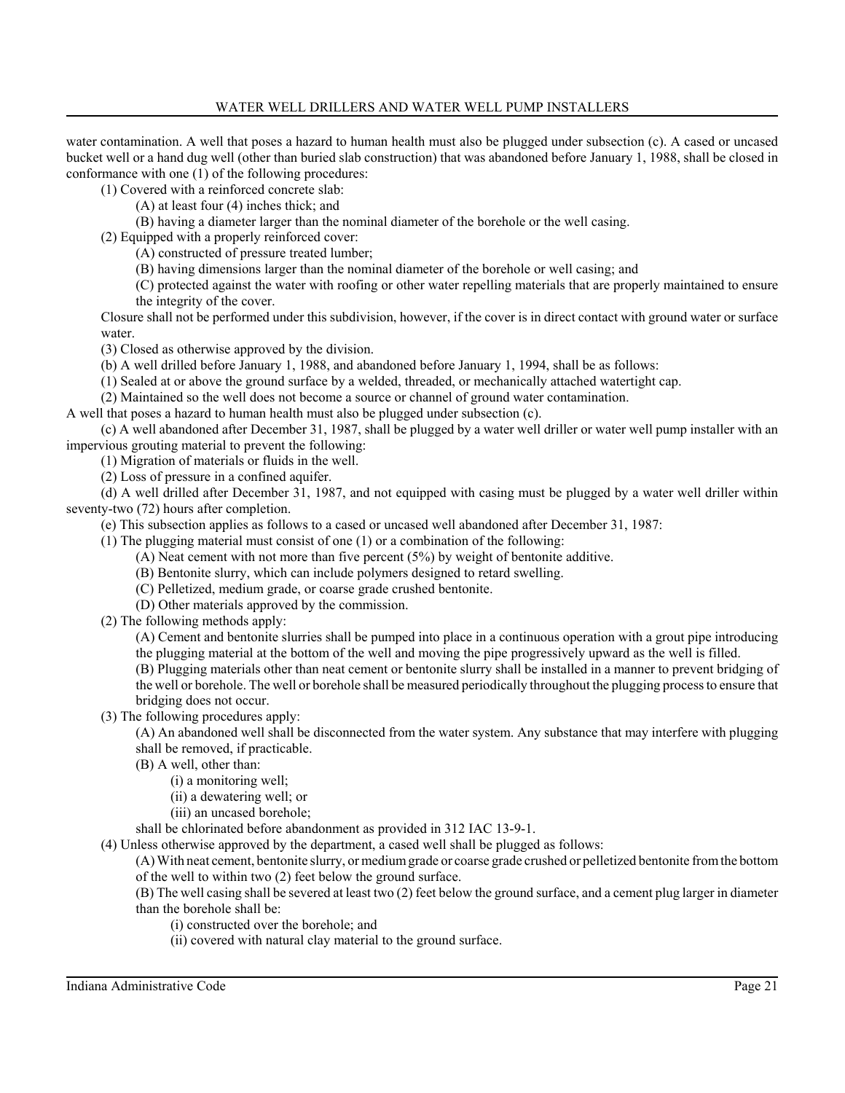water contamination. A well that poses a hazard to human health must also be plugged under subsection (c). A cased or uncased bucket well or a hand dug well (other than buried slab construction) that was abandoned before January 1, 1988, shall be closed in conformance with one (1) of the following procedures:

(1) Covered with a reinforced concrete slab:

(A) at least four (4) inches thick; and

(B) having a diameter larger than the nominal diameter of the borehole or the well casing.

(2) Equipped with a properly reinforced cover:

(A) constructed of pressure treated lumber;

(B) having dimensions larger than the nominal diameter of the borehole or well casing; and

(C) protected against the water with roofing or other water repelling materials that are properly maintained to ensure the integrity of the cover.

Closure shall not be performed under this subdivision, however, if the cover is in direct contact with ground water or surface water.

(3) Closed as otherwise approved by the division.

(b) A well drilled before January 1, 1988, and abandoned before January 1, 1994, shall be as follows:

(1) Sealed at or above the ground surface by a welded, threaded, or mechanically attached watertight cap.

(2) Maintained so the well does not become a source or channel of ground water contamination.

A well that poses a hazard to human health must also be plugged under subsection (c).

(c) A well abandoned after December 31, 1987, shall be plugged by a water well driller or water well pump installer with an impervious grouting material to prevent the following:

(1) Migration of materials or fluids in the well.

(2) Loss of pressure in a confined aquifer.

(d) A well drilled after December 31, 1987, and not equipped with casing must be plugged by a water well driller within seventy-two (72) hours after completion.

(e) This subsection applies as follows to a cased or uncased well abandoned after December 31, 1987:

(1) The plugging material must consist of one (1) or a combination of the following:

(A) Neat cement with not more than five percent (5%) by weight of bentonite additive.

(B) Bentonite slurry, which can include polymers designed to retard swelling.

(C) Pelletized, medium grade, or coarse grade crushed bentonite.

(D) Other materials approved by the commission.

(2) The following methods apply:

(A) Cement and bentonite slurries shall be pumped into place in a continuous operation with a grout pipe introducing the plugging material at the bottom of the well and moving the pipe progressively upward as the well is filled.

(B) Plugging materials other than neat cement or bentonite slurry shall be installed in a manner to prevent bridging of

the well or borehole. The well or borehole shall be measured periodically throughout the plugging process to ensure that bridging does not occur.

(3) The following procedures apply:

(A) An abandoned well shall be disconnected from the water system. Any substance that may interfere with plugging shall be removed, if practicable.

(B) A well, other than:

(i) a monitoring well;

(ii) a dewatering well; or

(iii) an uncased borehole;

shall be chlorinated before abandonment as provided in 312 IAC 13-9-1.

(4) Unless otherwise approved by the department, a cased well shall be plugged as follows:

(A) With neat cement, bentonite slurry, or medium grade or coarse grade crushed or pelletized bentonite from the bottom of the well to within two (2) feet below the ground surface.

(B) The well casing shall be severed at least two (2) feet below the ground surface, and a cement plug larger in diameter than the borehole shall be:

(i) constructed over the borehole; and

(ii) covered with natural clay material to the ground surface.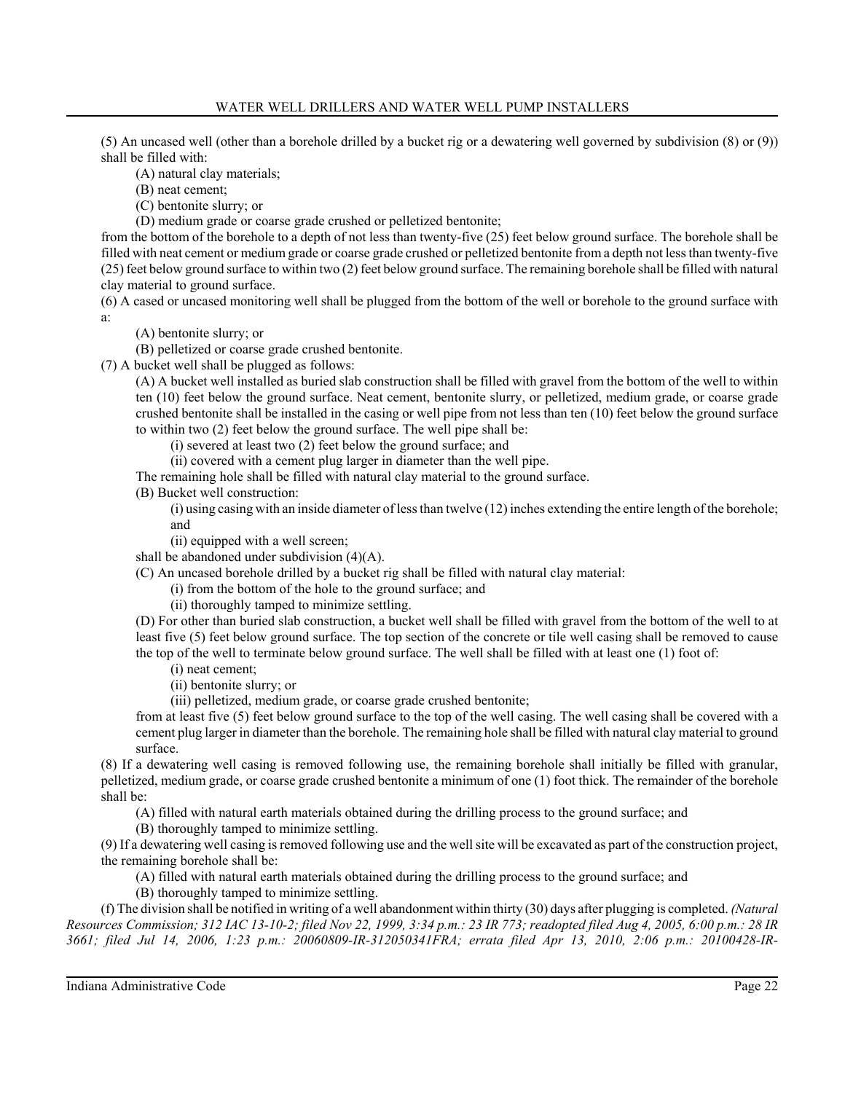(5) An uncased well (other than a borehole drilled by a bucket rig or a dewatering well governed by subdivision (8) or (9)) shall be filled with:

(A) natural clay materials;

(B) neat cement;

(C) bentonite slurry; or

(D) medium grade or coarse grade crushed or pelletized bentonite;

from the bottom of the borehole to a depth of not less than twenty-five (25) feet below ground surface. The borehole shall be filled with neat cement or medium grade or coarse grade crushed or pelletized bentonite from a depth not less than twenty-five (25) feet below ground surface to within two (2) feet below ground surface. The remaining borehole shall be filled with natural clay material to ground surface.

(6) A cased or uncased monitoring well shall be plugged from the bottom of the well or borehole to the ground surface with a:

(A) bentonite slurry; or

(B) pelletized or coarse grade crushed bentonite.

(7) A bucket well shall be plugged as follows:

(A) A bucket well installed as buried slab construction shall be filled with gravel from the bottom of the well to within ten (10) feet below the ground surface. Neat cement, bentonite slurry, or pelletized, medium grade, or coarse grade crushed bentonite shall be installed in the casing or well pipe from not less than ten (10) feet below the ground surface to within two (2) feet below the ground surface. The well pipe shall be:

(i) severed at least two (2) feet below the ground surface; and

(ii) covered with a cement plug larger in diameter than the well pipe.

The remaining hole shall be filled with natural clay material to the ground surface.

(B) Bucket well construction:

(i) using casing with an inside diameter of less than twelve (12) inches extending the entire length of the borehole; and

(ii) equipped with a well screen;

shall be abandoned under subdivision (4)(A).

(C) An uncased borehole drilled by a bucket rig shall be filled with natural clay material:

(i) from the bottom of the hole to the ground surface; and

(ii) thoroughly tamped to minimize settling.

(D) For other than buried slab construction, a bucket well shall be filled with gravel from the bottom of the well to at least five (5) feet below ground surface. The top section of the concrete or tile well casing shall be removed to cause the top of the well to terminate below ground surface. The well shall be filled with at least one (1) foot of:

(i) neat cement;

(ii) bentonite slurry; or

(iii) pelletized, medium grade, or coarse grade crushed bentonite;

from at least five (5) feet below ground surface to the top of the well casing. The well casing shall be covered with a cement plug larger in diameter than the borehole. The remaining hole shall be filled with natural clay material to ground surface.

(8) If a dewatering well casing is removed following use, the remaining borehole shall initially be filled with granular, pelletized, medium grade, or coarse grade crushed bentonite a minimum of one (1) foot thick. The remainder of the borehole shall be:

(A) filled with natural earth materials obtained during the drilling process to the ground surface; and

(B) thoroughly tamped to minimize settling.

(9) If a dewatering well casing is removed following use and the well site will be excavated as part of the construction project, the remaining borehole shall be:

(A) filled with natural earth materials obtained during the drilling process to the ground surface; and

(B) thoroughly tamped to minimize settling.

(f) The division shall be notified in writing of a well abandonment within thirty (30) days after plugging is completed. *(Natural Resources Commission; 312 IAC 13-10-2; filed Nov 22, 1999, 3:34 p.m.: 23 IR 773; readopted filed Aug 4, 2005, 6:00 p.m.: 28 IR 3661; filed Jul 14, 2006, 1:23 p.m.: 20060809-IR-312050341FRA; errata filed Apr 13, 2010, 2:06 p.m.: 20100428-IR-*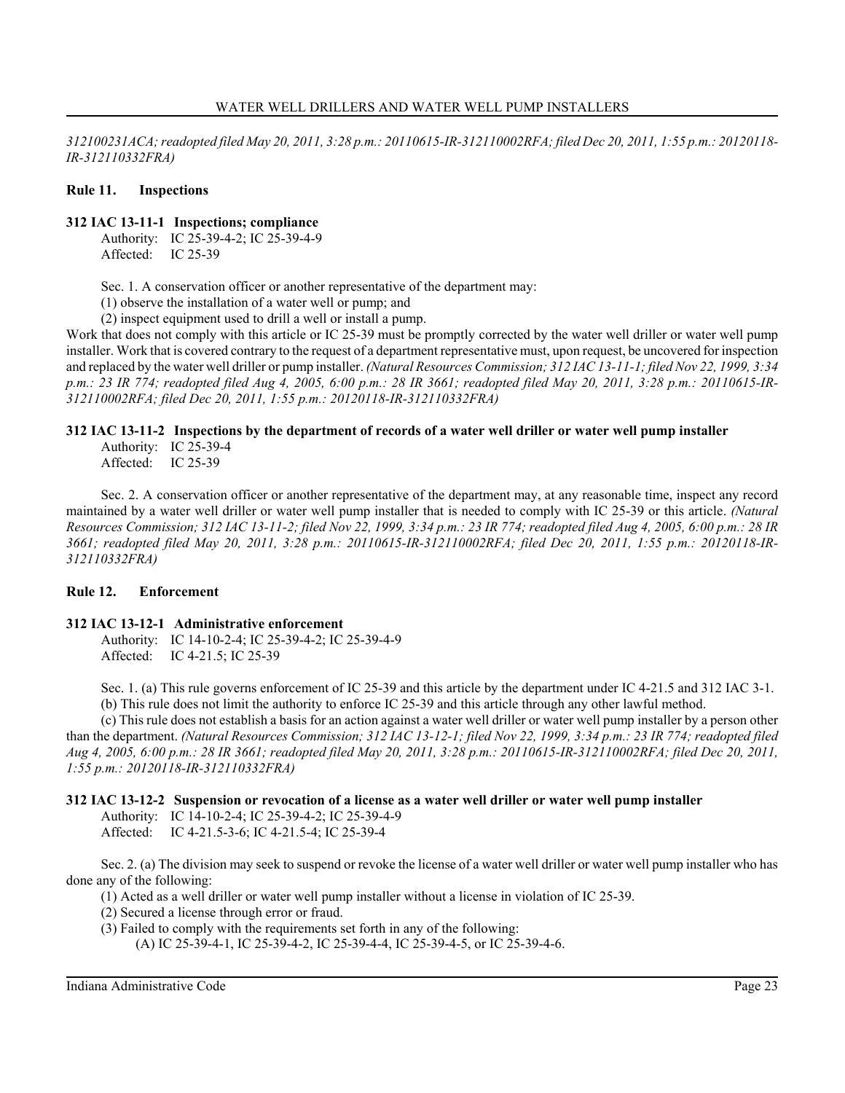*312100231ACA; readopted filed May 20, 2011, 3:28 p.m.: 20110615-IR-312110002RFA; filed Dec 20, 2011, 1:55 p.m.: 20120118- IR-312110332FRA)*

## **Rule 11. Inspections**

### **312 IAC 13-11-1 Inspections; compliance**

Authority: IC 25-39-4-2; IC 25-39-4-9 Affected: IC 25-39

Sec. 1. A conservation officer or another representative of the department may:

(1) observe the installation of a water well or pump; and

(2) inspect equipment used to drill a well or install a pump.

Work that does not comply with this article or IC 25-39 must be promptly corrected by the water well driller or water well pump installer. Work that is covered contrary to the request of a department representative must, upon request, be uncovered for inspection and replaced by the water well driller or pump installer. *(Natural Resources Commission; 312 IAC 13-11-1; filed Nov 22, 1999, 3:34 p.m.: 23 IR 774; readopted filed Aug 4, 2005, 6:00 p.m.: 28 IR 3661; readopted filed May 20, 2011, 3:28 p.m.: 20110615-IR-312110002RFA; filed Dec 20, 2011, 1:55 p.m.: 20120118-IR-312110332FRA)*

# **312 IAC 13-11-2 Inspections by the department of records of a water well driller or water well pump installer**

Authority: IC 25-39-4 Affected: IC 25-39

Sec. 2. A conservation officer or another representative of the department may, at any reasonable time, inspect any record maintained by a water well driller or water well pump installer that is needed to comply with IC 25-39 or this article. *(Natural Resources Commission; 312 IAC 13-11-2; filed Nov 22, 1999, 3:34 p.m.: 23 IR 774; readopted filed Aug 4, 2005, 6:00 p.m.: 28 IR 3661; readopted filed May 20, 2011, 3:28 p.m.: 20110615-IR-312110002RFA; filed Dec 20, 2011, 1:55 p.m.: 20120118-IR-312110332FRA)*

# **Rule 12. Enforcement**

### **312 IAC 13-12-1 Administrative enforcement**

Authority: IC 14-10-2-4; IC 25-39-4-2; IC 25-39-4-9 Affected: IC 4-21.5; IC 25-39

Sec. 1. (a) This rule governs enforcement of IC 25-39 and this article by the department under IC 4-21.5 and 312 IAC 3-1. (b) This rule does not limit the authority to enforce IC 25-39 and this article through any other lawful method.

(c) This rule does not establish a basis for an action against a water well driller or water well pump installer by a person other than the department. *(Natural Resources Commission; 312 IAC 13-12-1; filed Nov 22, 1999, 3:34 p.m.: 23 IR 774; readopted filed Aug 4, 2005, 6:00 p.m.: 28 IR 3661; readopted filed May 20, 2011, 3:28 p.m.: 20110615-IR-312110002RFA; filed Dec 20, 2011, 1:55 p.m.: 20120118-IR-312110332FRA)*

#### **312 IAC 13-12-2 Suspension or revocation of a license as a water well driller or water well pump installer**

Authority: IC 14-10-2-4; IC 25-39-4-2; IC 25-39-4-9

Affected: IC 4-21.5-3-6; IC 4-21.5-4; IC 25-39-4

Sec. 2. (a) The division may seek to suspend or revoke the license of a water well driller or water well pump installer who has done any of the following:

(1) Acted as a well driller or water well pump installer without a license in violation of IC 25-39.

- (2) Secured a license through error or fraud.
- (3) Failed to comply with the requirements set forth in any of the following:

(A) IC 25-39-4-1, IC 25-39-4-2, IC 25-39-4-4, IC 25-39-4-5, or IC 25-39-4-6.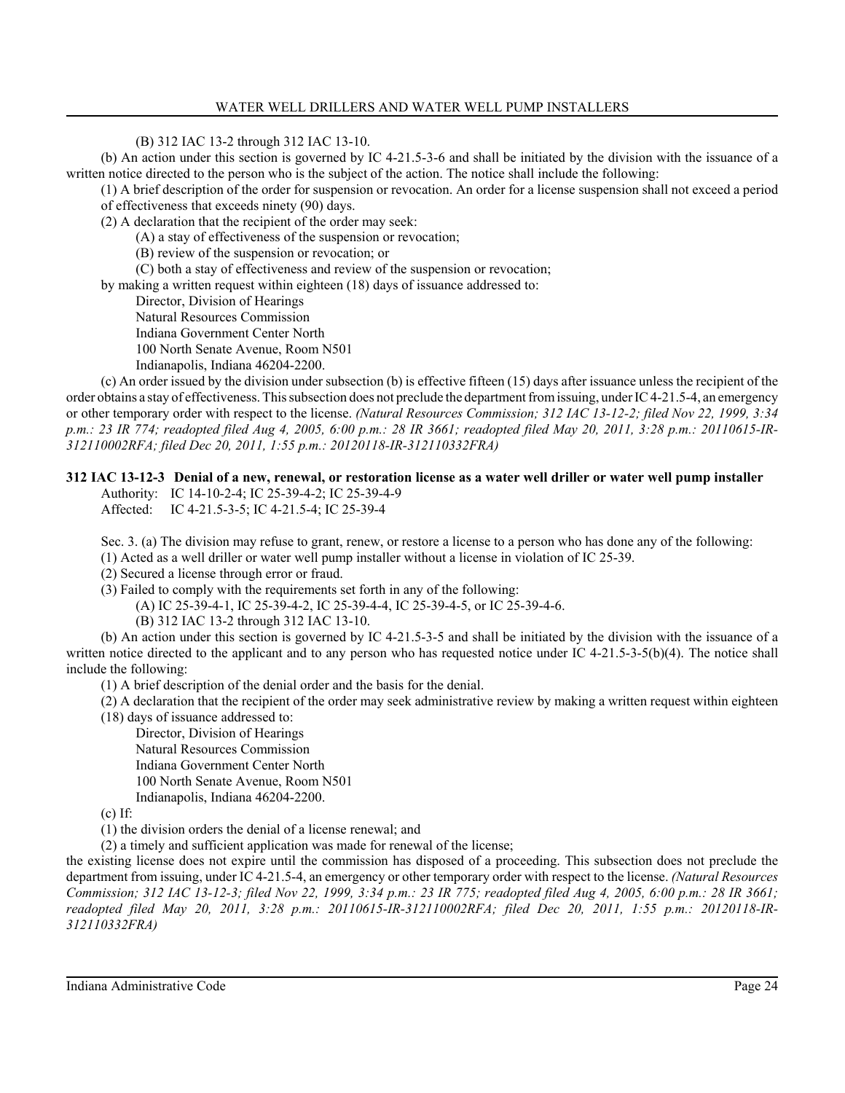(B) 312 IAC 13-2 through 312 IAC 13-10.

(b) An action under this section is governed by IC 4-21.5-3-6 and shall be initiated by the division with the issuance of a written notice directed to the person who is the subject of the action. The notice shall include the following:

(1) A brief description of the order for suspension or revocation. An order for a license suspension shall not exceed a period of effectiveness that exceeds ninety (90) days.

(2) A declaration that the recipient of the order may seek:

(A) a stay of effectiveness of the suspension or revocation;

(B) review of the suspension or revocation; or

(C) both a stay of effectiveness and review of the suspension or revocation;

by making a written request within eighteen (18) days of issuance addressed to:

Director, Division of Hearings

Natural Resources Commission

Indiana Government Center North

100 North Senate Avenue, Room N501

Indianapolis, Indiana 46204-2200.

(c) An order issued by the division under subsection (b) is effective fifteen (15) days after issuance unless the recipient of the order obtains a stay of effectiveness. This subsection does not preclude the department from issuing, under IC 4-21.5-4, an emergency or other temporary order with respect to the license. *(Natural Resources Commission; 312 IAC 13-12-2; filed Nov 22, 1999, 3:34 p.m.: 23 IR 774; readopted filed Aug 4, 2005, 6:00 p.m.: 28 IR 3661; readopted filed May 20, 2011, 3:28 p.m.: 20110615-IR-312110002RFA; filed Dec 20, 2011, 1:55 p.m.: 20120118-IR-312110332FRA)*

# **312 IAC 13-12-3 Denial of a new, renewal, or restoration license as a water well driller or water well pump installer**

Authority: IC 14-10-2-4; IC 25-39-4-2; IC 25-39-4-9 Affected: IC 4-21.5-3-5; IC 4-21.5-4; IC 25-39-4

Sec. 3. (a) The division may refuse to grant, renew, or restore a license to a person who has done any of the following:

(1) Acted as a well driller or water well pump installer without a license in violation of IC 25-39.

(2) Secured a license through error or fraud.

(3) Failed to comply with the requirements set forth in any of the following:

(A) IC 25-39-4-1, IC 25-39-4-2, IC 25-39-4-4, IC 25-39-4-5, or IC 25-39-4-6.

(B) 312 IAC 13-2 through 312 IAC 13-10.

(b) An action under this section is governed by IC 4-21.5-3-5 and shall be initiated by the division with the issuance of a written notice directed to the applicant and to any person who has requested notice under IC 4-21.5-3-5(b)(4). The notice shall include the following:

(1) A brief description of the denial order and the basis for the denial.

(2) A declaration that the recipient of the order may seek administrative review by making a written request within eighteen

(18) days of issuance addressed to:

Director, Division of Hearings Natural Resources Commission Indiana Government Center North 100 North Senate Avenue, Room N501 Indianapolis, Indiana 46204-2200.

(c) If:

(1) the division orders the denial of a license renewal; and

(2) a timely and sufficient application was made for renewal of the license;

the existing license does not expire until the commission has disposed of a proceeding. This subsection does not preclude the department from issuing, under IC 4-21.5-4, an emergency or other temporary order with respect to the license. *(Natural Resources Commission; 312 IAC 13-12-3; filed Nov 22, 1999, 3:34 p.m.: 23 IR 775; readopted filed Aug 4, 2005, 6:00 p.m.: 28 IR 3661; readopted filed May 20, 2011, 3:28 p.m.: 20110615-IR-312110002RFA; filed Dec 20, 2011, 1:55 p.m.: 20120118-IR-312110332FRA)*